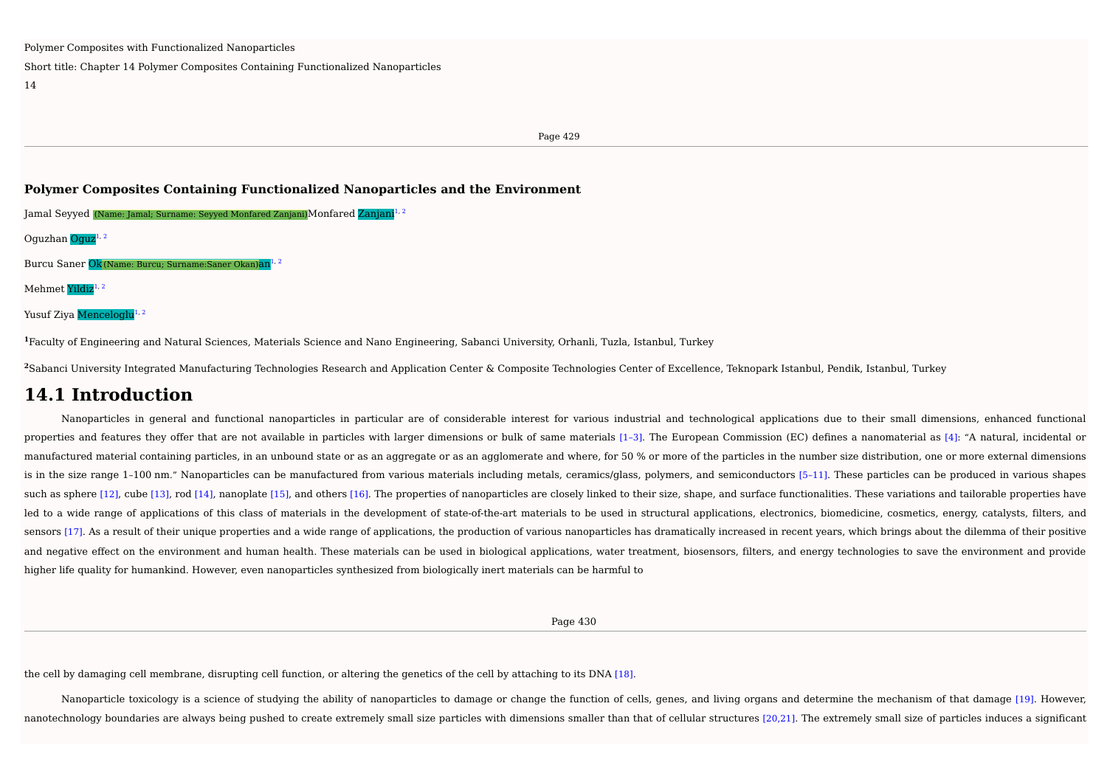Polymer Composites with Functionalized Nanoparticles

Short title: Chapter 14 Polymer Composites Containing Functionalized Nanoparticles

14

Page 429

## **Polymer Composites Containing Functionalized Nanoparticles and the Environment**

Jamal Seyyed (Name: Jamal; Surname: Seyyed Monfared Zanjani)Monfared Zanjani $^{1,\,2}$ 

Oguzhan <mark>Oguz</mark><sup>1, 2</sup>

Burcu Saner <mark>Ok</mark> (Name: Burcu; Surname:Saner Okan)<mark>an<sup>1, 2</sup></mark>

Mehmet <mark>Yildiz</mark><sup>1, 2</sup>

Yusuf Ziya <mark>Menceloglu</mark><sup>1, 2</sup>

**<sup>1</sup>**Faculty of Engineering and Natural Sciences, Materials Science and Nano Engineering, Sabanci University, Orhanli, Tuzla, Istanbul, Turkey

<sup>2</sup>Sabanci University Integrated Manufacturing Technologies Research and Application Center & Composite Technologies Center of Excellence, Teknopark Istanbul, Pendik, Istanbul, Turkey

# **14.1 Introduction**

Nanoparticles in general and functional nanoparticles in particular are of considerable interest for various industrial and technological applications due to their small dimensions, enhanced functional properties and features they offer that are not available in particles with larger dimensions or bulk of same materials [1–3]. The European Commission (EC) defines a nanomaterial as [4]: "A natural, incidental or manufactured material containing particles, in an unbound state or as an aggregate or as an agglomerate and where, for 50 % or more of the particles in the number size distribution, one or more external dimensions is in the size range 1–100 nm." Nanoparticles can be manufactured from various materials including metals, ceramics/glass, polymers, and semiconductors [5–11]. These particles can be produced in various shapes such as sphere [12], cube [13], rod [14], nanoplate [15], and others [16]. The properties of nanoparticles are closely linked to their size, shape, and surface functionalities. These variations and tailorable properties ha led to a wide range of applications of this class of materials in the development of state-of-the-art materials to be used in structural applications, electronics, biomedicine, cosmetics, energy, catalysts, filters, and sensors [17]. As a result of their unique properties and a wide range of applications, the production of various nanoparticles has dramatically increased in recent years, which brings about the dilemma of their positive and negative effect on the environment and human health. These materials can be used in biological applications, water treatment, biosensors, filters, and energy technologies to save the environment and provide higher life quality for humankind. However, even nanoparticles synthesized from biologically inert materials can be harmful to

Page 430

the cell by damaging cell membrane, disrupting cell function, or altering the genetics of the cell by attaching to its DNA [18].

Nanoparticle toxicology is a science of studying the ability of nanoparticles to damage or change the function of cells, genes, and living organs and determine the mechanism of that damage [19]. However, nanotechnology boundaries are always being pushed to create extremely small size particles with dimensions smaller than that of cellular structures [20,21]. The extremely small size of particles induces a significant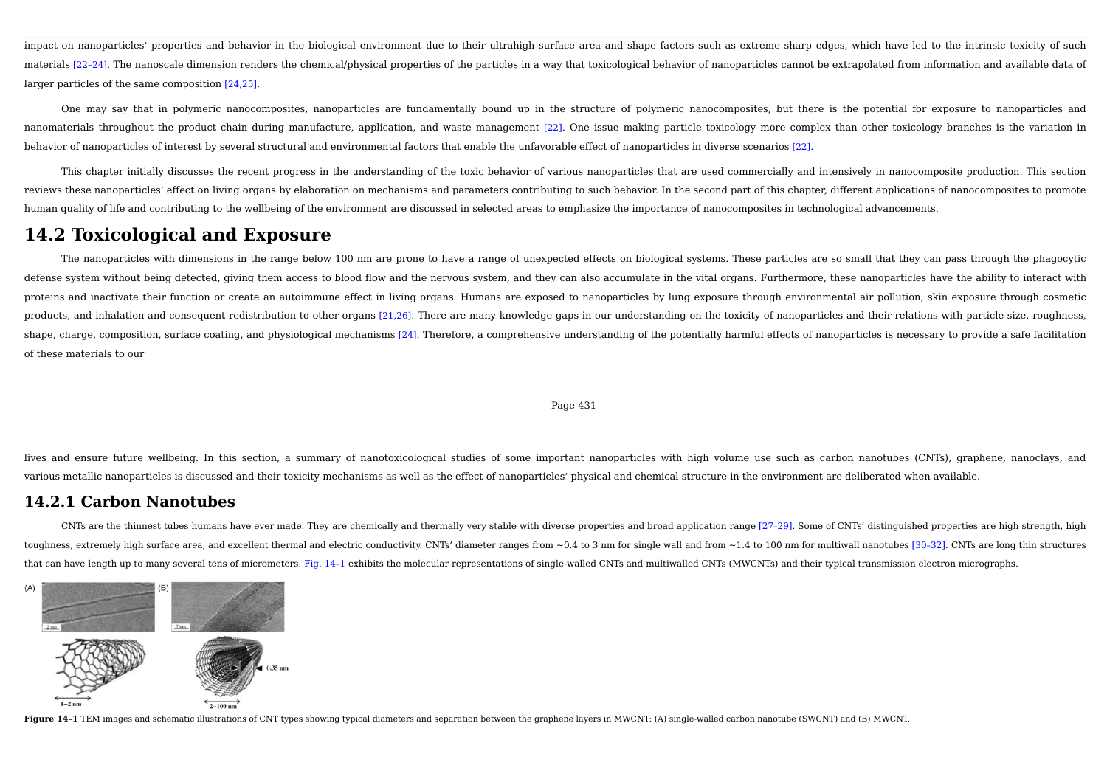impact on nanoparticles' properties and behavior in the biological environment due to their ultrahigh surface area and shape factors such as extreme sharp edges, which have led to the intrinsic toxicity of such materials [22-24]. The nanoscale dimension renders the chemical/physical properties of the particles in a way that toxicological behavior of nanoparticles cannot be extrapolated from information and available data of larger particles of the same composition [24,25].

One may say that in polymeric nanocomposites, nanoparticles are fundamentally bound up in the structure of polymeric nanocomposites, but there is the potential for exposure to nanoparticles and nanomaterials throughout the product chain during manufacture, application, and waste management [22]. One issue making particle toxicology more complex than other toxicology branches is the variation in behavior of nanoparticles of interest by several structural and environmental factors that enable the unfavorable effect of nanoparticles in diverse scenarios [22].

This chapter initially discusses the recent progress in the understanding of the toxic behavior of various nanoparticles that are used commercially and intensively in nanocomposite production. This section reviews these nanoparticles' effect on living organs by elaboration on mechanisms and parameters contributing to such behavior. In the second part of this chapter, different applications of nanocomposites to promote human quality of life and contributing to the wellbeing of the environment are discussed in selected areas to emphasize the importance of nanocomposites in technological advancements.

# **14.2 Toxicological and Exposure**

The nanoparticles with dimensions in the range below 100 nm are prone to have a range of unexpected effects on biological systems. These particles are so small that they can pass through the phagocytic defense system without being detected, giving them access to blood flow and the nervous system, and they can also accumulate in the vital organs. Furthermore, these nanoparticles have the ability to interact with proteins and inactivate their function or create an autoimmune effect in living organs. Humans are exposed to nanoparticles by lung exposure through environmental air pollution, skin exposure through cosmetic products, and inhalation and consequent redistribution to other organs [21,26]. There are many knowledge gaps in our understanding on the toxicity of nanoparticles and their relations with particle size, roughness, shape, charge, composition, surface coating, and physiological mechanisms [24]. Therefore, a comprehensive understanding of the potentially harmful effects of nanoparticles is necessary to provide a safe facilitation of these materials to our

```
Page 431
```
lives and ensure future wellbeing. In this section, a summary of nanotoxicological studies of some important nanoparticles with high volume use such as carbon nanotubes (CNTs), graphene, nanoclays, and various metallic nanoparticles is discussed and their toxicity mechanisms as well as the effect of nanoparticles' physical and chemical structure in the environment are deliberated when available.

# **14.2.1 Carbon Nanotubes**

CNTs are the thinnest tubes humans have ever made. They are chemically and thermally very stable with diverse properties and broad application range [27-29]. Some of CNTs' distinguished properties are high strength, high toughness, extremely high surface area, and excellent thermal and electric conductivity. CNTs' diameter ranges from ~0.4 to 3 nm for single wall and from ~1.4 to 100 nm for multiwall nanotubes [30-32]. CNTs are long thin s that can have length up to many several tens of micrometers. Fig. 14-1 exhibits the molecular representations of single-walled CNTs and multiwalled CNTs (MWCNTs) and their typical transmission electron micrographs.



**Figure 14–1** TEM images and schematic illustrations of CNT types showing typical diameters and separation between the graphene layers in MWCNT: (A) single-walled carbon nanotube (SWCNT) and (B) MWCNT.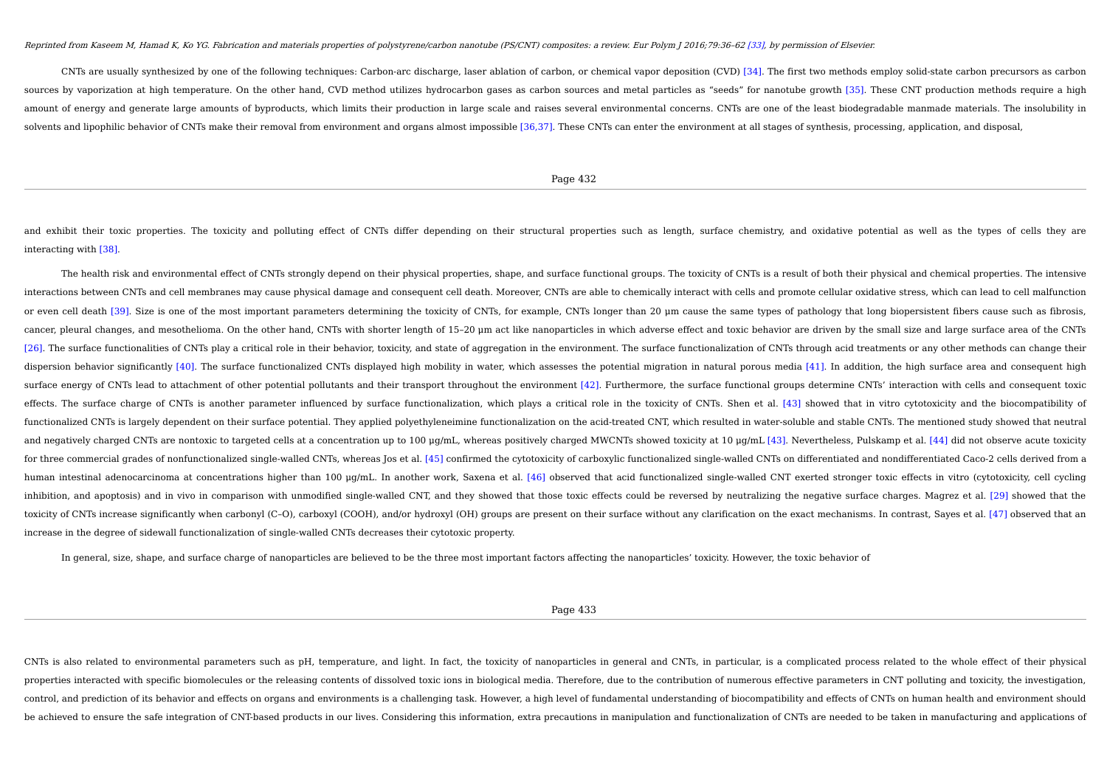Reprinted from Kaseem M, Hamad K, Ko YG. Fabrication and materials properties of polystyrene/carbon nanotube (PS/CNT) composites: <sup>a</sup> review. Eur Polym J 2016;79:36–62 [33], by permission of Elsevier.

CNTs are usually synthesized by one of the following techniques: Carbon-arc discharge, laser ablation of carbon, or chemical vapor deposition (CVD) [34]. The first two methods employ solid-state carbon precursors as carbon sources by vaporization at high temperature. On the other hand, CVD method utilizes hydrocarbon gases as carbon sources and metal particles as "seeds" for nanotube growth [35]. These CNT production methods require a high amount of energy and generate large amounts of byproducts, which limits their production in large scale and raises several environmental concerns. CNTs are one of the least biodegradable manmade materials. The insolubility solvents and lipophilic behavior of CNTs make their removal from environment and organs almost impossible [36,37]. These CNTs can enter the environment at all stages of synthesis, processing, application, and disposal,

#### Page 432

and exhibit their toxic properties. The toxicity and polluting effect of CNTs differ depending on their structural properties such as length, surface chemistry, and oxidative potential as well as the types of cells they ar interacting with [38].

The health risk and environmental effect of CNTs strongly depend on their physical properties, shape, and surface functional groups. The toxicity of CNTs is a result of both their physical and chemical properties. The inte interactions between CNTs and cell membranes may cause physical damage and consequent cell death. Moreover, CNTs are able to chemically interact with cells and promote cellular oxidative stress, which can lead to cell malf or even cell death [39]. Size is one of the most important parameters determining the toxicity of CNTs, for example, CNTs longer than 20 µm cause the same types of pathology that long biopersistent fibers cause such as fib cancer, pleural changes, and mesothelioma. On the other hand, CNTs with shorter length of 15-20 µm act like nanoparticles in which adverse effect and toxic behavior are driven by the small size and large surface area of th [26]. The surface functionalities of CNTs play a critical role in their behavior, toxicity, and state of aggregation in the environment. The surface functionalization of CNTs through acid treatments or any other methods ca dispersion behavior significantly [40]. The surface functionalized CNTs displayed high mobility in water, which assesses the potential migration in natural porous media [41]. In addition, the high surface area and conseque surface energy of CNTs lead to attachment of other potential pollutants and their transport throughout the environment [42]. Furthermore, the surface functional groups determine CNTs' interaction with cells and consequent effects. The surface charge of CNTs is another parameter influenced by surface functionalization, which plays a critical role in the toxicity of CNTs. Shen et al.  $[43]$  showed that in vitro cytotoxicity and the biocompat functionalized CNTs is largely dependent on their surface potential. They applied polyethyleneimine functionalization on the acid-treated CNT, which resulted in water-soluble and stable CNTs. The mentioned study showed tha and negatively charged CNTs are nontoxic to targeted cells at a concentration up to 100 µg/mL, whereas positively charged MWCNTs showed toxicity at 10 µg/mL [43]. Nevertheless, Pulskamp et al. [44] did not observe acute to for three commercial grades of nonfunctionalized single-walled CNTs, whereas Jos et al. [45] confirmed the cytotoxicity of carboxylic functionalized single-walled CNTs on differentiated and nondifferentiated Caco-2 cells d human intestinal adenocarcinoma at concentrations higher than 100 µg/mL. In another work, Saxena et al. [46] observed that acid functionalized single-walled CNT exerted stronger toxic effects in vitro (cytotoxicity, cell c inhibition, and apoptosis) and in vivo in comparison with unmodified single-walled CNT, and they showed that those toxic effects could be reversed by neutralizing the negative surface charges. Magrez et al. [29] showed tha toxicity of CNTs increase significantly when carbonyl (C-O), carboxyl (COOH), and/or hydroxyl (OH) groups are present on their surface without any clarification on the exact mechanisms. In contrast, Sayes et al. [47] obser increase in the degree of sidewall functionalization of single-walled CNTs decreases their cytotoxic property.

In general, size, shape, and surface charge of nanoparticles are believed to be the three most important factors affecting the nanoparticles' toxicity. However, the toxic behavior of

### Page 433

CNTs is also related to environmental parameters such as pH, temperature, and light. In fact, the toxicity of nanoparticles in general and CNTs, in particular, is a complicated process related to the whole effect of their properties interacted with specific biomolecules or the releasing contents of dissolved toxic ions in biological media. Therefore, due to the contribution of numerous effective parameters in CNT polluting and toxicity, the control, and prediction of its behavior and effects on organs and environments is a challenging task. However, a high level of fundamental understanding of biocompatibility and effects of CNTs on human health and environme be achieved to ensure the safe integration of CNT-based products in our lives. Considering this information, extra precautions in manipulation and functionalization of CNTs are needed to be taken in manufacturing and appli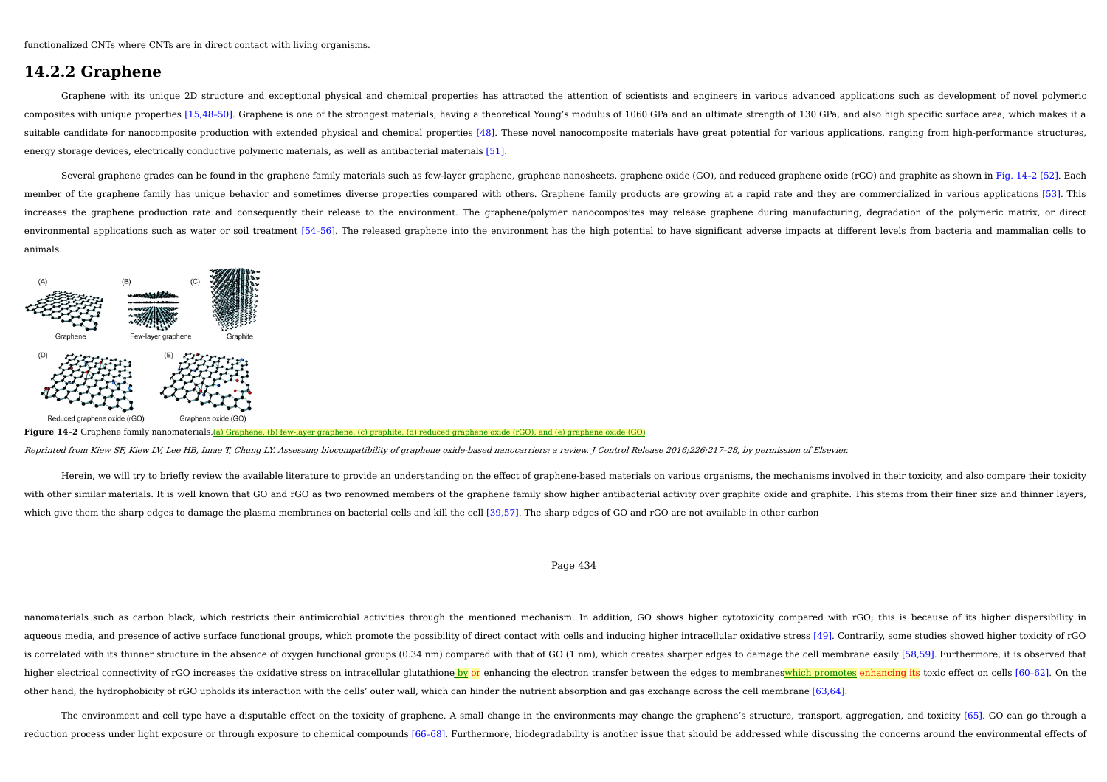# **14.2.2 Graphene**

Graphene with its unique 2D structure and exceptional physical and chemical properties has attracted the attention of scientists and engineers in various advanced applications such as development of novel polymeric composites with unique properties [15,48-50]. Graphene is one of the strongest materials, having a theoretical Young's modulus of 1060 GPa and an ultimate strength of 130 GPa, and also high specific surface area, which mak suitable candidate for nanocomposite production with extended physical and chemical properties [48]. These novel nanocomposite materials have great potential for various applications, ranging from high-performance structur energy storage devices, electrically conductive polymeric materials, as well as antibacterial materials [51].

Several graphene grades can be found in the graphene family materials such as few-layer graphene, graphene nanosheets, graphene oxide (GO), and reduced graphene oxide (rGO) and graphite as shown in Fig. 14-2 [52]. Each member of the graphene family has unique behavior and sometimes diverse properties compared with others. Graphene family products are growing at a rapid rate and they are commercialized in various applications [53]. This increases the graphene production rate and consequently their release to the environment. The graphene/polymer nanocomposites may release graphene during manufacturing, degradation of the polymeric matrix, or direct environmental applications such as water or soil treatment [54-56]. The released graphene into the environment has the high potential to have significant adverse impacts at different levels from bacteria and mammalian cell animals.



**Figure 14-2** Graphene family nanomaterials.(a) Graphene, (b) few-layer graphene, (c) graphite, (d) reduced graphene oxide (rGO), and (e) graphene oxide (GO) Reprinted from Kiew SF, Kiew LV, Lee HB, Imae T, Chung LY. Assessing biocompatibility of graphene oxide-based nanocarriers: <sup>a</sup> review. J Control Release 2016;226:217–28, by permission of Elsevier.

Herein, we will try to briefly review the available literature to provide an understanding on the effect of graphene-based materials on various organisms, the mechanisms involved in their toxicity, and also compare their t with other similar materials. It is well known that GO and rGO as two renowned members of the graphene family show higher antibacterial activity over graphite oxide and graphite. This stems from their finer size and thinne which give them the sharp edges to damage the plasma membranes on bacterial cells and kill the cell [39,57]. The sharp edges of GO and rGO are not available in other carbon

Page 434

nanomaterials such as carbon black, which restricts their antimicrobial activities through the mentioned mechanism. In addition, GO shows higher cytotoxicity compared with rGO; this is because of its higher dispersibility aqueous media, and presence of active surface functional groups, which promote the possibility of direct contact with cells and inducing higher intracellular oxidative stress [49]. Contrarily, some studies showed higher to is correlated with its thinner structure in the absence of oxygen functional groups (0.34 nm) compared with that of GO (1 nm), which creates sharper edges to damage the cell membrane easily [58,59]. Furthermore, it is obse higher electrical connectivity of rGO increases the oxidative stress on intracellular glutathione <mark>by <del>or</del></del> enhancing the electron transfer between the edges to membranes<mark>which promotes e<del>nhancing</del> its</mark> toxic effect on cel</mark> other hand, the hydrophobicity of rGO upholds its interaction with the cells' outer wall, which can hinder the nutrient absorption and gas exchange across the cell membrane [63,64].

The environment and cell type have a disputable effect on the toxicity of graphene. A small change in the environments may change the graphene's structure, transport, aggregation, and toxicity [65]. GO can go through a reduction process under light exposure or through exposure to chemical compounds [66-68]. Furthermore, biodegradability is another issue that should be addressed while discussing the concerns around the environmental effec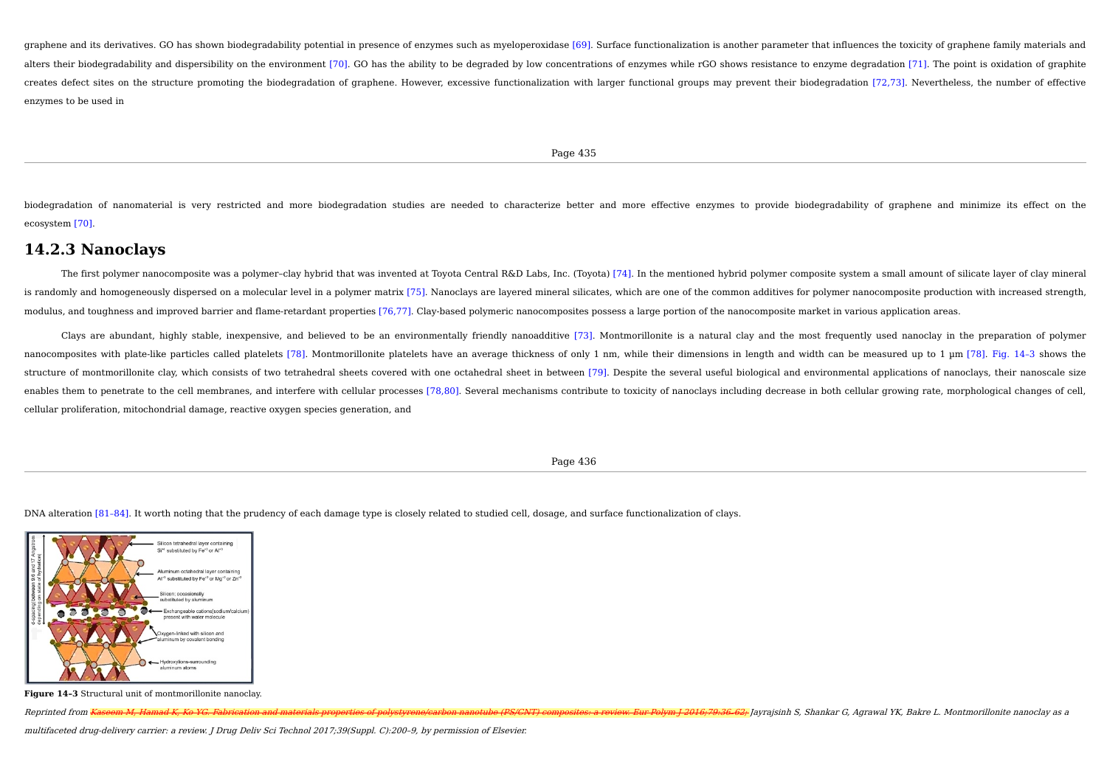graphene and its derivatives. GO has shown biodegradability potential in presence of enzymes such as myeloperoxidase [69]. Surface functionalization is another parameter that influences the toxicity of graphene family mate alters their biodegradability and dispersibility on the environment [70]. GO has the ability to be degraded by low concentrations of enzymes while rGO shows resistance to enzyme degradation [71]. The point is oxidation of creates defect sites on the structure promoting the biodegradation of graphene. However, excessive functionalization with larger functional groups may prevent their biodegradation [72,73]. Nevertheless, the number of effec enzymes to be used in

Page 435

biodegradation of nanomaterial is very restricted and more biodegradation studies are needed to characterize better and more effective enzymes to provide biodegradability of graphene and minimize its effect on the ecosystem [70].

# **14.2.3 Nanoclays**

The first polymer nanocomposite was a polymer-clay hybrid that was invented at Toyota Central R&D Labs, Inc. (Toyota) [74]. In the mentioned hybrid polymer composite system a small amount of silicate layer of clay mineral is randomly and homogeneously dispersed on a molecular level in a polymer matrix [75]. Nanoclays are layered mineral silicates, which are one of the common additives for polymer nanocomposite production with increased stre modulus, and toughness and improved barrier and flame-retardant properties [76,77]. Clay-based polymeric nanocomposites possess a large portion of the nanocomposite market in various application areas.

Clays are abundant, highly stable, inexpensive, and believed to be an environmentally friendly nanoadditive [73]. Montmorillonite is a natural clay and the most frequently used nanoclay in the preparation of polymer nanocomposites with plate-like particles called platelets [78]. Montmorillonite platelets have an average thickness of only 1 nm, while their dimensions in length and width can be measured up to 1 µm [78]. Fig. 14-3 shows structure of montmorillonite clay, which consists of two tetrahedral sheets covered with one octahedral sheet in between [79]. Despite the several useful biological and environmental applications of nanoclays, their nanosc enables them to penetrate to the cell membranes, and interfere with cellular processes [78,80]. Several mechanisms contribute to toxicity of nanoclays including decrease in both cellular growing rate, morphological changes cellular proliferation, mitochondrial damage, reactive oxygen species generation, and

Page 436

DNA alteration [81-84]. It worth noting that the prudency of each damage type is closely related to studied cell, dosage, and surface functionalization of clays.



**Figure 14–3** Structural unit of montmorillonite nanoclay.

Reprinted from Kaseem M, Hamad K, Ko YG. Fabrication and materials properties of polystyrene/carbon nanotube (PS/CNT) composites: a review. Eur Polym J 2016;79:36-62, Jayrajsinh S, Shankar G, Agrawal YK, Bakre L. Montmoril Kaseem M, Hamad K, Ko YG. Fabrication and materials properties of polystyrene/carbon nanotube (PS/CNT) composites: <sup>a</sup> review. Eur Polym J 2016;79:36–62;

multifaceted drug-delivery carrier: <sup>a</sup> review. J Drug Deliv Sci Technol 2017;39(Suppl. C):200–9, by permission of Elsevier.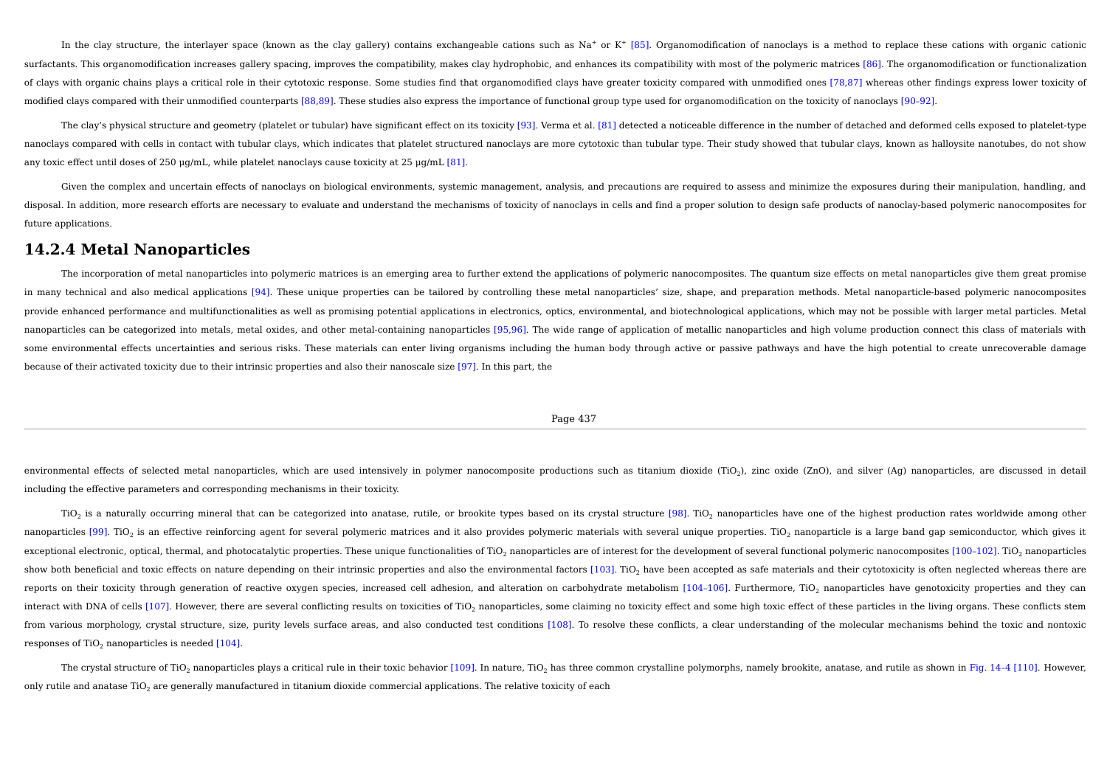In the clay structure, the interlayer space (known as the clay gallery) contains exchangeable cations such as Na<sup>+</sup> or K<sup>+</sup> [85]. Organomodification of nanoclays is a method to replace these cations with organic cationic surfactants. This organomodification increases gallery spacing, improves the compatibility, makes clay hydrophobic, and enhances its compatibility with most of the polymeric matrices [86]. The organomodification or functio of clays with organic chains plays a critical role in their cytotoxic response. Some studies find that organomodified clays have greater toxicity compared with unmodified ones [78,87] whereas other findings express lower t modified clays compared with their unmodified counterparts [88,89]. These studies also express the importance of functional group type used for organomodification on the toxicity of nanoclays [90-92].

The clay's physical structure and geometry (platelet or tubular) have significant effect on its toxicity [93]. Verma et al. [81] detected a noticeable difference in the number of detached and deformed cells exposed to plat nanoclays compared with cells in contact with tubular clays, which indicates that platelet structured nanoclays are more cytotoxic than tubular type. Their study showed that tubular clays, known as halloysite nanotubes, do any toxic effect until doses of 250 μg/mL, while platelet nanoclays cause toxicity at 25 μg/mL [81].

Given the complex and uncertain effects of nanoclays on biological environments, systemic management, analysis, and precautions are required to assess and minimize the exposures during their manipulation, handling, and disposal. In addition, more research efforts are necessary to evaluate and understand the mechanisms of toxicity of nanoclays in cells and find a proper solution to design safe products of nanoclay-based polymeric nanocomp future applications.

# **14.2.4 Metal Nanoparticles**

The incorporation of metal nanoparticles into polymeric matrices is an emerging area to further extend the applications of polymeric nanocomposites. The quantum size effects on metal nanoparticles give them great promise in many technical and also medical applications [94]. These unique properties can be tailored by controlling these metal nanoparticles' size, shape, and preparation methods. Metal nanoparticle-based polymeric nanocomposite provide enhanced performance and multifunctionalities as well as promising potential applications in electronics, optics, environmental, and biotechnological applications, which may not be possible with larger metal partic nanoparticles can be categorized into metals, metal oxides, and other metal-containing nanoparticles [95,96]. The wide range of application of metallic nanoparticles and high volume production connect this class of materia some environmental effects uncertainties and serious risks. These materials can enter living organisms including the human body through active or passive pathways and have the high potential to create unrecoverable damage because of their activated toxicity due to their intrinsic properties and also their nanoscale size [97]. In this part, the

Page 437

environmental effects of selected metal nanoparticles, which are used intensively in polymer nanocomposite productions such as titanium dioxide (TiO<sub>2</sub>), zinc oxide (ZnO), and silver (Ag) nanoparticles, are discussed in de including the effective parameters and corresponding mechanisms in their toxicity.

TiO $_2$  is a naturally occurring mineral that can be categorized into anatase, rutile, or brookite types based on its crystal structure [98]. TiO $_2$  nanoparticles have one of the highest production rates worldwide among nanoparticles [99]. TiO<sub>2</sub> is an effective reinforcing agent for several polymeric matrices and it also provides polymeric materials with several unique properties. TiO<sub>2</sub> nanoparticle is a large band gap semiconductor, wh exceptional electronic, optical, thermal, and photocatalytic properties. These unique functionalities of TiO<sub>2</sub> nanoparticles are of interest for the development of several functional polymeric nanocomposites [100-102]. Ti show both beneficial and toxic effects on nature depending on their intrinsic properties and also the environmental factors [103]. TiO<sub>2</sub> have been accepted as safe materials and their cytotoxicity is often neglected where reports on their toxicity through generation of reactive oxygen species, increased cell adhesion, and alteration on carbohydrate metabolism [104-106]. Furthermore, TiO<sub>2</sub> nanoparticles have genotoxicity properties and they interact with DNA of cells [107]. However, there are several conflicting results on toxicities of TiO<sub>2</sub> nanoparticles, some claiming no toxicity effect and some high toxic effect of these particles in the living organs. T from various morphology, crystal structure, size, purity levels surface areas, and also conducted test conditions [108]. To resolve these conflicts, a clear understanding of the molecular mechanisms behind the toxic and no responses of TiO<sub>2</sub> nanoparticles is needed  $[104]$ .

The crystal structure of TiO<sub>2</sub> nanoparticles plays a critical rule in their toxic behavior [109]. In nature, TiO<sub>2</sub> has three common crystalline polymorphs, namely brookite, anatase, and rutile as shown in Fig. 14-4 [110] only rutile and anatase TiO<sub>2</sub> are generally manufactured in titanium dioxide commercial applications. The relative toxicity of each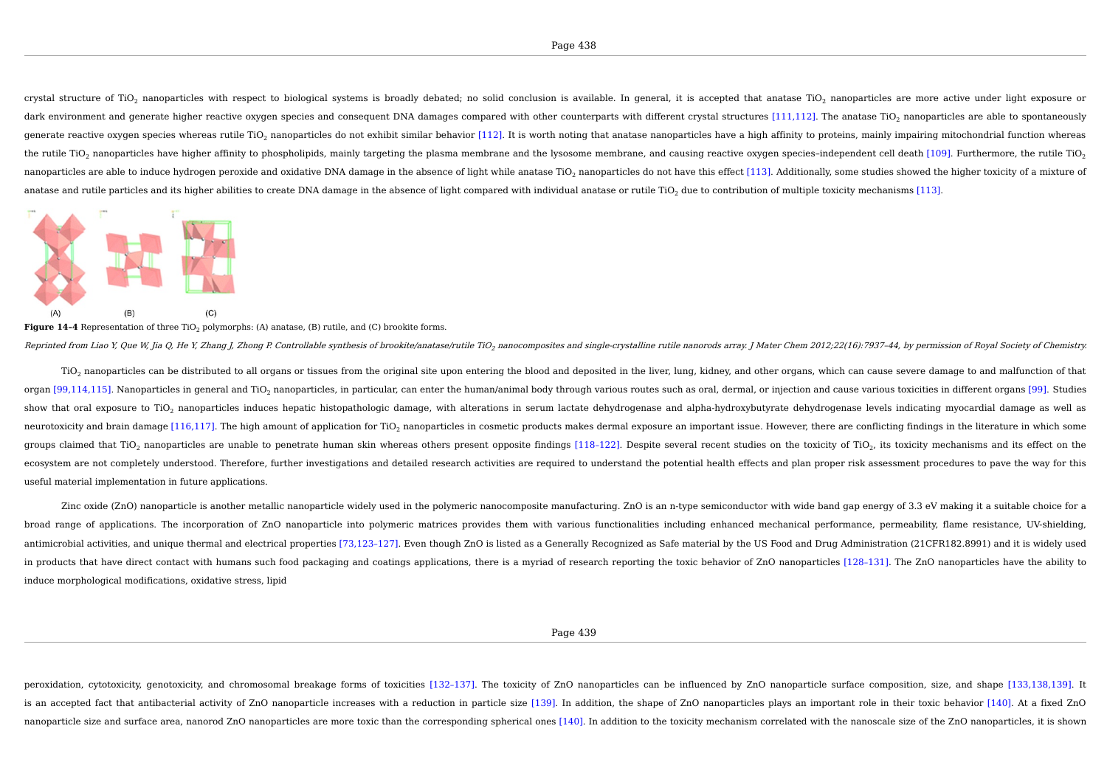crystal structure of TiO<sub>2</sub> nanoparticles with respect to biological systems is broadly debated; no solid conclusion is available. In general, it is accepted that anatase TiO<sub>2</sub> nanoparticles are more active under light ex dark environment and generate higher reactive oxygen species and consequent DNA damages compared with other counterparts with different crystal structures  $[111,112]$ . The anatase TiO<sub>2</sub> nanoparticles are able to spontane generate reactive oxygen species whereas rutile TiO<sub>2</sub> nanoparticles do not exhibit similar behavior [112]. It is worth noting that anatase nanoparticles have a high affinity to proteins, mainly impairing mitochondrial fun the rutile TiO<sub>2</sub> nanoparticles have higher affinity to phospholipids, mainly targeting the plasma membrane and the lysosome membrane, and causing reactive oxygen species-independent cell death [109]. Furthermore, the ruti nanoparticles are able to induce hydrogen peroxide and oxidative DNA damage in the absence of light while anatase TiO<sub>2</sub> nanoparticles do not have this effect [113]. Additionally, some studies showed the higher toxicity of anatase and rutile particles and its higher abilities to create DNA damage in the absence of light compared with individual anatase or rutile TiO<sub>2</sub> due to contribution of multiple toxicity mechanisms [113].



**Figure 14-4** Representation of three TiO<sub>2</sub> polymorphs: (A) anatase, (B) rutile, and (C) brookite forms.

Reprinted from Liao Y, Que W, Jia Q, He Y, Zhang J, Zhong P. Controllable synthesis of brookite/anatase/rutile TiO<sub>2</sub> nanocomposites and single-crystalline rutile nanorods array. J Mater Chem 2012;22(16):7937-44, by permis

TiO<sub>2</sub> nanoparticles can be distributed to all organs or tissues from the original site upon entering the blood and deposited in the liver, lung, kidney, and other organs, which can cause severe damage to and malfunction o organ [99,114,115]. Nanoparticles in general and TiO<sub>2</sub> nanoparticles, in particular, can enter the human/animal body through various routes such as oral, dermal, or injection and cause various toxicities in different orga show that oral exposure to TiO<sub>2</sub> nanoparticles induces hepatic histopathologic damage, with alterations in serum lactate dehydrogenase and alpha-hydroxybutyrate dehydrogenase levels indicating myocardial damage as well as neurotoxicity and brain damage [116,117]. The high amount of application for TiO<sub>2</sub> nanoparticles in cosmetic products makes dermal exposure an important issue. However, there are conflicting findings in the literature in groups claimed that TiO<sub>2</sub> nanoparticles are unable to penetrate human skin whereas others present opposite findings [118-122]. Despite several recent studies on the toxicity of TiO<sub>2</sub>, its toxicity mechanisms and its eff ecosystem are not completely understood. Therefore, further investigations and detailed research activities are required to understand the potential health effects and plan proper risk assessment procedures to pave the way useful material implementation in future applications.

Zinc oxide (ZnO) nanoparticle is another metallic nanoparticle widely used in the polymeric nanocomposite manufacturing. ZnO is an n-type semiconductor with wide band gap energy of 3.3 eV making it a suitable choice for a broad range of applications. The incorporation of ZnO nanoparticle into polymeric matrices provides them with various functionalities including enhanced mechanical performance, permeability, flame resistance, UV-shielding, antimicrobial activities, and unique thermal and electrical properties [73,123-127]. Even though ZnO is listed as a Generally Recognized as Safe material by the US Food and Drug Administration (21CFR182.8991) and it is wid in products that have direct contact with humans such food packaging and coatings applications, there is a myriad of research reporting the toxic behavior of ZnO nanoparticles [128-131]. The ZnO nanoparticles have the abil induce morphological modifications, oxidative stress, lipid

peroxidation, cytotoxicity, genotoxicity, and chromosomal breakage forms of toxicities [132-137]. The toxicity of ZnO nanoparticles can be influenced by ZnO nanoparticle surface composition, size, and shape [133,138,139]. is an accepted fact that antibacterial activity of ZnO nanoparticle increases with a reduction in particle size [139]. In addition, the shape of ZnO nanoparticles plays an important role in their toxic behavior [140]. At a nanoparticle size and surface area, nanorod ZnO nanoparticles are more toxic than the corresponding spherical ones [140]. In addition to the toxicity mechanism correlated with the nanoscale size of the ZnO nanoparticles, i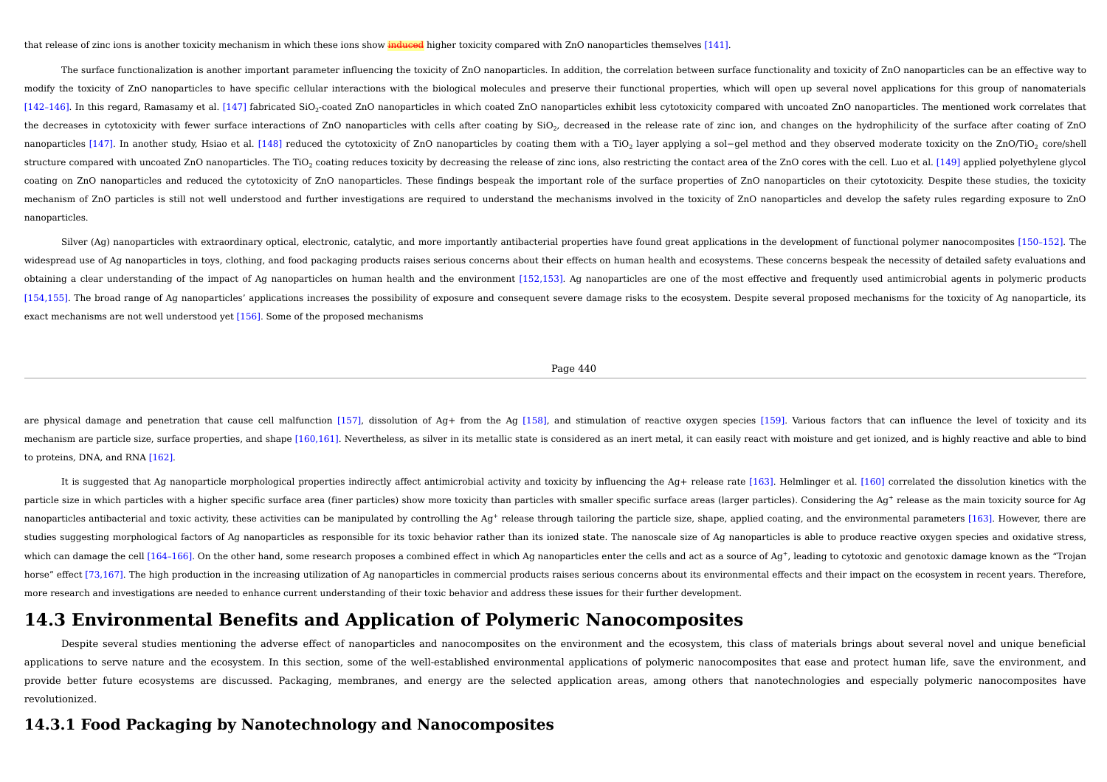that release of zinc ions is another toxicity mechanism in which these ions show <del>induced</del> higher toxicity compared with ZnO nanoparticles themselves [141].

The surface functionalization is another important parameter influencing the toxicity of ZnO nanoparticles. In addition, the correlation between surface functionality and toxicity of ZnO nanoparticles can be an effective w modify the toxicity of ZnO nanoparticles to have specific cellular interactions with the biological molecules and preserve their functional properties, which will open up several novel applications for this group of nanoma [142-146]. In this regard, Ramasamy et al. [147] fabricated SiO<sub>2</sub>-coated ZnO nanoparticles in which coated ZnO nanoparticles exhibit less cytotoxicity compared with uncoated ZnO nanoparticles. The mentioned work correlat the decreases in cytotoxicity with fewer surface interactions of ZnO nanoparticles with cells after coating by SiO<sub>2</sub>, decreased in the release rate of zinc ion, and changes on the hydrophilicity of the surface after coat nanoparticles [147]. In another study, Hsiao et al. [148] reduced the cytotoxicity of ZnO nanoparticles by coating them with a TiO<sub>2</sub> layer applying a sol—gel method and they observed moderate toxicity on the ZnO/TiO<sub>2</sub> c structure compared with uncoated ZnO nanoparticles. The TiO<sub>2</sub> coating reduces toxicity by decreasing the release of zinc ions, also restricting the contact area of the ZnO cores with the cell. Luo et al. [149] applied pol coating on ZnO nanoparticles and reduced the cytotoxicity of ZnO nanoparticles. These findings bespeak the important role of the surface properties of ZnO nanoparticles on their cytotoxicity. Despite these studies, the tox mechanism of ZnO particles is still not well understood and further investigations are required to understand the mechanisms involved in the toxicity of ZnO nanoparticles and develop the safety rules regarding exposure to nanoparticles.

Silver (Ag) nanoparticles with extraordinary optical, electronic, catalytic, and more importantly antibacterial properties have found great applications in the development of functional polymer nanocomposites [150–152]. Th widespread use of Aq nanoparticles in toys, clothing, and food packaging products raises serious concerns about their effects on human health and ecosystems. These concerns bespeak the necessity of detailed safety evaluati obtaining a clear understanding of the impact of Ag nanoparticles on human health and the environment [152,153]. Ag nanoparticles are one of the most effective and frequently used antimicrobial agents in polymeric products [154,155]. The broad range of Ag nanoparticles' applications increases the possibility of exposure and consequent severe damage risks to the ecosystem. Despite several proposed mechanisms for the toxicity of Ag nanoparticl exact mechanisms are not well understood yet [156]. Some of the proposed mechanisms

### Page 440

are physical damage and penetration that cause cell malfunction [157], dissolution of Ag+ from the Ag [158], and stimulation of reactive oxygen species [159]. Various factors that can influence the level of toxicity and it mechanism are particle size, surface properties, and shape [160,161]. Nevertheless, as silver in its metallic state is considered as an inert metal, it can easily react with moisture and get ionized, and is highly reactive to proteins, DNA, and RNA [162].

It is suggested that Ag nanoparticle morphological properties indirectly affect antimicrobial activity and toxicity by influencing the Ag+ release rate [163]. Helmlinger et al. [160] correlated the dissolution kinetics wit particle size in which particles with a higher specific surface area (finer particles) show more toxicity than particles with smaller specific surface areas (larger particles). Considering the Ag<sup>+</sup> release as the main tox nanoparticles antibacterial and toxic activity, these activities can be manipulated by controlling the Ag<sup>+</sup> release through tailoring the particle size, shape, applied coating, and the environmental parameters [163]. Howe studies suggesting morphological factors of Ag nanoparticles as responsible for its toxic behavior rather than its ionized state. The nanoscale size of Ag nanoparticles is able to produce reactive oxygen species and oxidat which can damage the cell [164-166]. On the other hand, some research proposes a combined effect in which Ag nanoparticles enter the cells and act as a source of Ag<sup>+</sup>, leading to cytotoxic and genotoxic damage known as th horse" effect [73,167]. The high production in the increasing utilization of Ag nanoparticles in commercial products raises serious concerns about its environmental effects and their impact on the ecosystem in recent years more research and investigations are needed to enhance current understanding of their toxic behavior and address these issues for their further development.

# **14.3 Environmental Benefits and Application of Polymeric Nanocomposites**

Despite several studies mentioning the adverse effect of nanoparticles and nanocomposites on the environment and the ecosystem, this class of materials brings about several novel and unique beneficial applications to serve nature and the ecosystem. In this section, some of the well-established environmental applications of polymeric nanocomposites that ease and protect human life, save the environment, and provide better future ecosystems are discussed. Packaging, membranes, and energy are the selected application areas, among others that nanotechnologies and especially polymeric nanocomposites have revolutionized.

# **14.3.1 Food Packaging by Nanotechnology and Nanocomposites**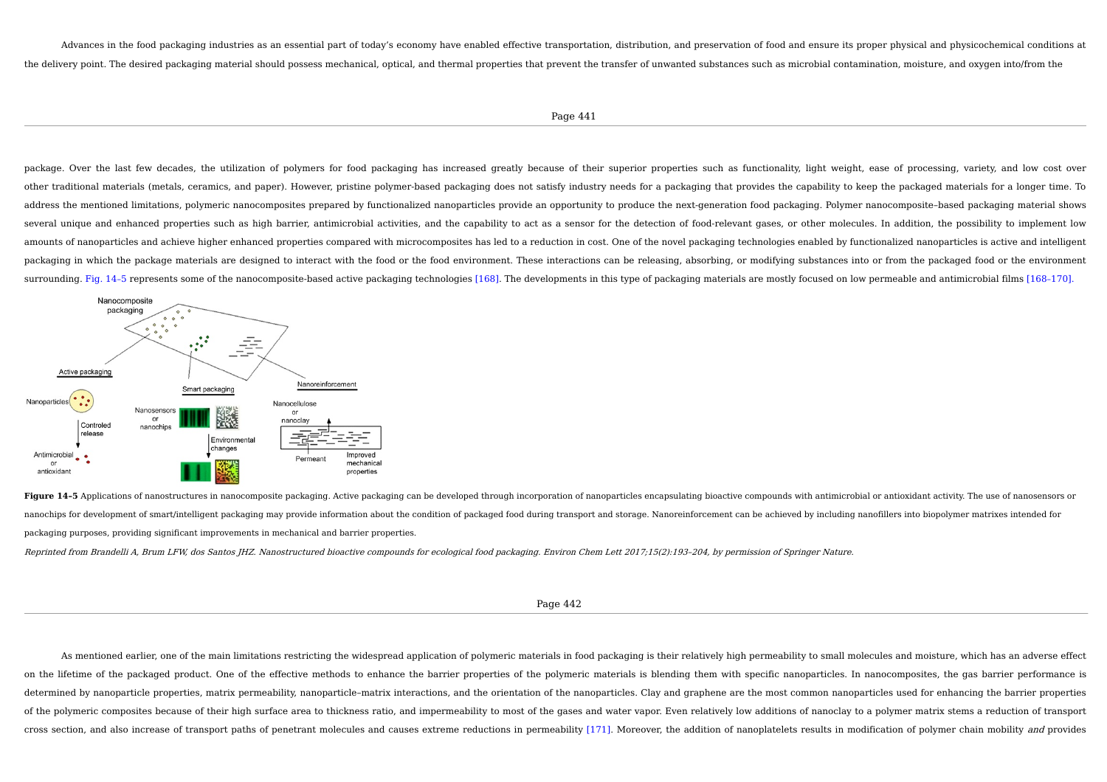Advances in the food packaging industries as an essential part of today's economy have enabled effective transportation, distribution, and preservation of food and ensure its proper physical and physicochemical conditions the delivery point. The desired packaging material should possess mechanical, optical, and thermal properties that prevent the transfer of unwanted substances such as microbial contamination, moisture, and oxygen into/from

package. Over the last few decades, the utilization of polymers for food packaging has increased greatly because of their superior properties such as functionality, light weight, ease of processing, variety, and low cost o other traditional materials (metals, ceramics, and paper). However, pristine polymer-based packaging does not satisfy industry needs for a packaging that provides the capability to keep the packaged materials for a longer address the mentioned limitations, polymeric nanocomposites prepared by functionalized nanoparticles provide an opportunity to produce the next-generation food packaging. Polymer nanocomposite–based packaging material shows several unique and enhanced properties such as high barrier, antimicrobial activities, and the capability to act as a sensor for the detection of food-relevant gases, or other molecules. In addition, the possibility to imp amounts of nanoparticles and achieve higher enhanced properties compared with microcomposites has led to a reduction in cost. One of the novel packaging technologies enabled by functionalized nanoparticles is active and in packaging in which the package materials are designed to interact with the food or the food environment. These interactions can be releasing, absorbing, or modifying substances into or from the packaged food or the environ surrounding. Fig. 14-5 represents some of the nanocomposite-based active packaging technologies [168]. The developments in this type of packaging materials are mostly focused on low permeable and antimicrobial films [168-1



Figure 14-5 Applications of nanostructures in nanocomposite packaging. Active packaging can be developed through incorporation of nanoparticles encapsulating bioactive compounds with antimicrobial or antioxidant activity. nanochips for development of smart/intelligent packaging may provide information about the condition of packaged food during transport and storage. Nanoreinforcement can be achieved by including nanofillers into biopolymer packaging purposes, providing significant improvements in mechanical and barrier properties.

Reprinted from Brandelli A, Brum LFW, dos Santos JHZ. Nanostructured bioactive compounds for ecological food packaging. Environ Chem Lett 2017;15(2):193–204, by permission of Springer Nature.

Page 442

As mentioned earlier, one of the main limitations restricting the widespread application of polymeric materials in food packaging is their relatively high permeability to small molecules and moisture, which has an adverse on the lifetime of the packaged product. One of the effective methods to enhance the barrier properties of the polymeric materials is blending them with specific nanoparticles. In nanocomposites, the gas barrier performanc determined by nanoparticle properties, matrix permeability, nanoparticle-matrix interactions, and the orientation of the nanoparticles. Clay and graphene are the most common nanoparticles used for enhancing the barrier pro of the polymeric composites because of their high surface area to thickness ratio, and impermeability to most of the gases and water vapor. Even relatively low additions of nanoclay to a polymer matrix stems a reduction of cross section, and also increase of transport paths of penetrant molecules and causes extreme reductions in permeability [171]. Moreover, the addition of nanoplatelets results in modification of polymer chain mobility and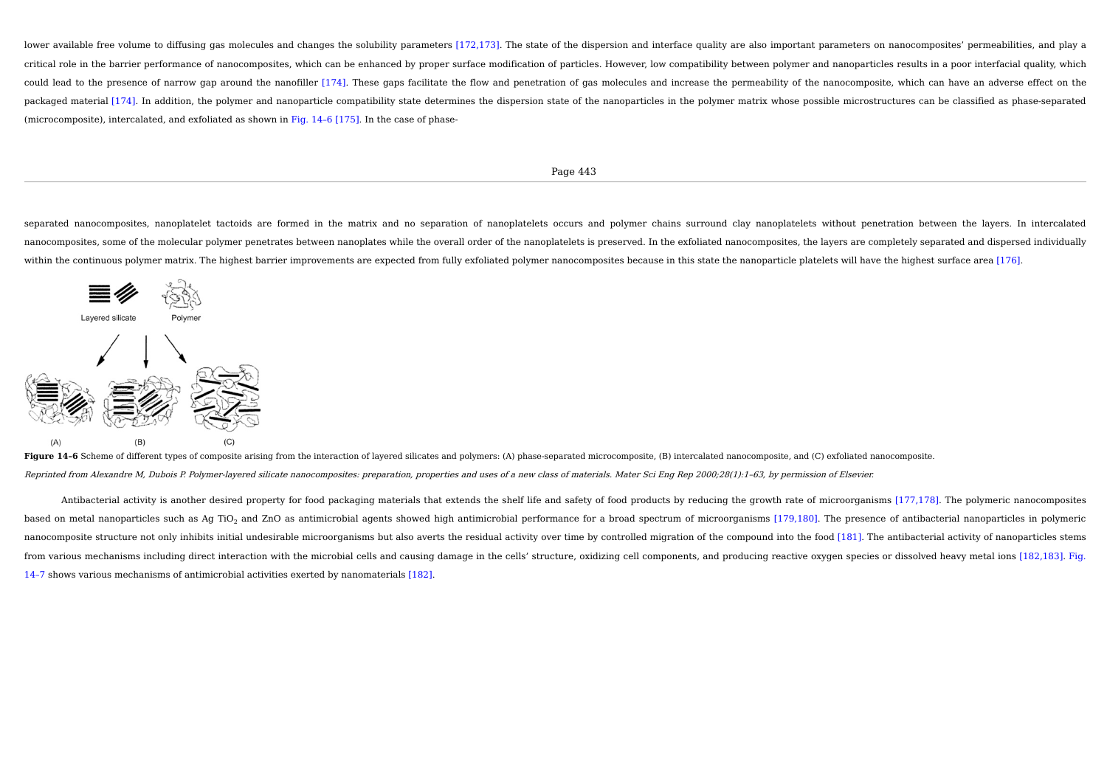lower available free volume to diffusing gas molecules and changes the solubility parameters [172.173]. The state of the dispersion and interface quality are also important parameters on nanocomposites' permeabilities, and critical role in the barrier performance of nanocomposites, which can be enhanced by proper surface modification of particles. However, low compatibility between polymer and nanoparticles results in a poor interfacial qual could lead to the presence of narrow gap around the nanofiller [174]. These gaps facilitate the flow and penetration of gas molecules and increase the permeability of the nanocomposite, which can have an adverse effect on packaged material [174]. In addition, the polymer and nanoparticle compatibility state determines the dispersion state of the nanoparticles in the polymer matrix whose possible microstructures can be classified as phase-se (microcomposite), intercalated, and exfoliated as shown in Fig. 14–6 [175]. In the case of phase-

### Page 443

separated nanocomposites, nanoplatelet tactoids are formed in the matrix and no separation of nanoplatelets occurs and polymer chains surround clay nanoplatelets without penetration between the layers. In intercalated nanocomposites, some of the molecular polymer penetrates between nanoplates while the overall order of the nanoplatelets is preserved. In the exfoliated nanocomposites, the layers are completely separated and dispersed ind within the continuous polymer matrix. The highest barrier improvements are expected from fully exfoliated polymer nanocomposites because in this state the nanoparticle platelets will have the highest surface area [176].



Figure 14-6 Scheme of different types of composite arising from the interaction of layered silicates and polymers: (A) phase-separated microcomposite, (B) intercalated nanocomposite, and (C) exfoliated nanocomposite. Reprinted from Alexandre M, Dubois P. Polymer-layered silicate nanocomposites: preparation, properties and uses of a new class of materials. Mater Sci Eng Rep 2000;28(1):1-63, by permission of Elsevier.

Antibacterial activity is another desired property for food packaging materials that extends the shelf life and safety of food products by reducing the growth rate of microorganisms [177,178]. The polymeric nanocomposites based on metal nanoparticles such as Ag TiO<sub>2</sub> and ZnO as antimicrobial agents showed high antimicrobial performance for a broad spectrum of microorganisms [179,180]. The presence of antibacterial nanoparticles in polymeri nanocomposite structure not only inhibits initial undesirable microorganisms but also averts the residual activity over time by controlled migration of the compound into the food [181]. The antibacterial activity of nanopa from various mechanisms including direct interaction with the microbial cells and causing damage in the cells' structure, oxidizing cell components, and producing reactive oxygen species or dissolved heavy metal ions [182, 14–7 shows various mechanisms of antimicrobial activities exerted by nanomaterials [182].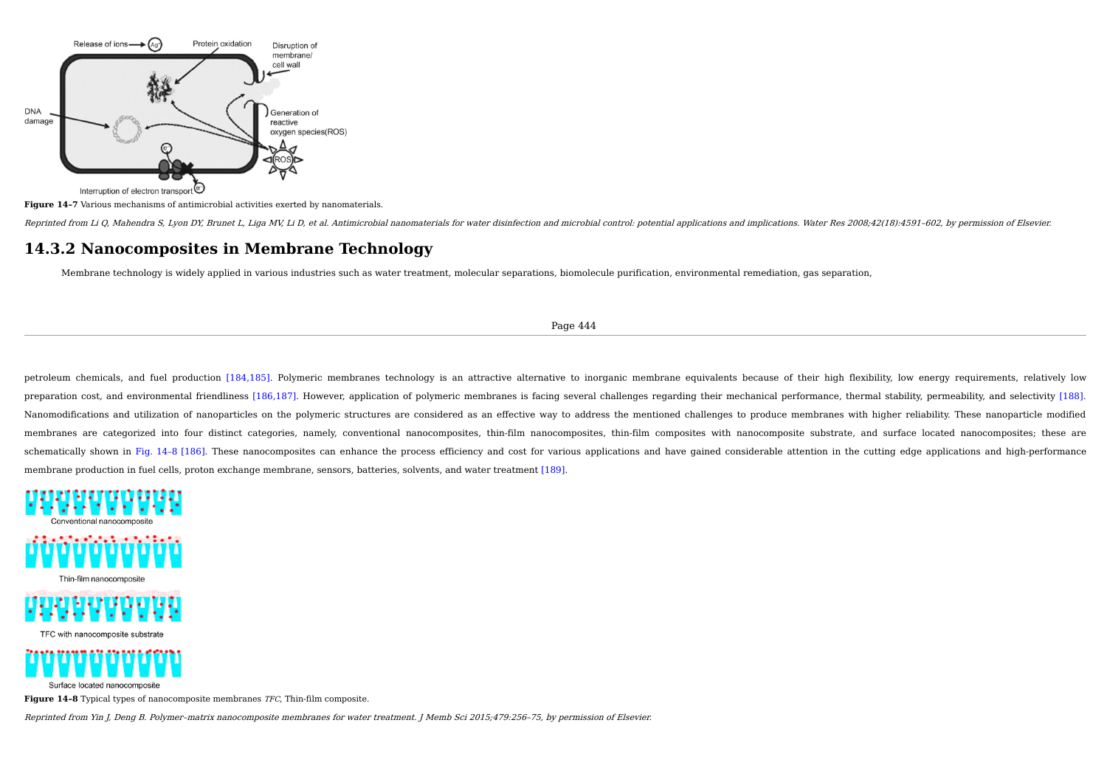

**Figure 14–7** Various mechanisms of antimicrobial activities exerted by nanomaterials.

Reprinted from Li Q, Mahendra S, Lyon DY, Brunet L, Liga MV, Li D, et al. Antimicrobial nanomaterials for water disinfection and microbial control: potential applications and implications. Water Res 2008;42(18):4591-602, b

# **14.3.2 Nanocomposites in Membrane Technology**

Membrane technology is widely applied in various industries such as water treatment, molecular separations, biomolecule purification, environmental remediation, gas separation,

Page 444

petroleum chemicals, and fuel production [184,185]. Polymeric membranes technology is an attractive alternative to inorganic membrane equivalents because of their high flexibility, low energy requirements, relatively low preparation cost, and environmental friendliness [186,187]. However, application of polymeric membranes is facing several challenges regarding their mechanical performance, thermal stability, permeability, and selectivity Nanomodifications and utilization of nanoparticles on the polymeric structures are considered as an effective way to address the mentioned challenges to produce membranes with higher reliability. These nanoparticle modifie membranes are categorized into four distinct categories, namely, conventional nanocomposites, thin-film nanocomposites, thin-film composites with nanocomposite substrate, and surface located nanocomposites; these are schematically shown in Fig. 14–8 [186]. These nanocomposites can enhance the process efficiency and cost for various applications and have gained considerable attention in the cutting edge applications and high-performance membrane production in fuel cells, proton exchange membrane, sensors, batteries, solvents, and water treatment [189].



**Figure 14–8** Typical types of nanocomposite membranes TFC, Thin-film composite.

Reprinted from Yin J, Deng B. Polymer–matrix nanocomposite membranes for water treatment. J Memb Sci 2015;479:256–75, by permission of Elsevier.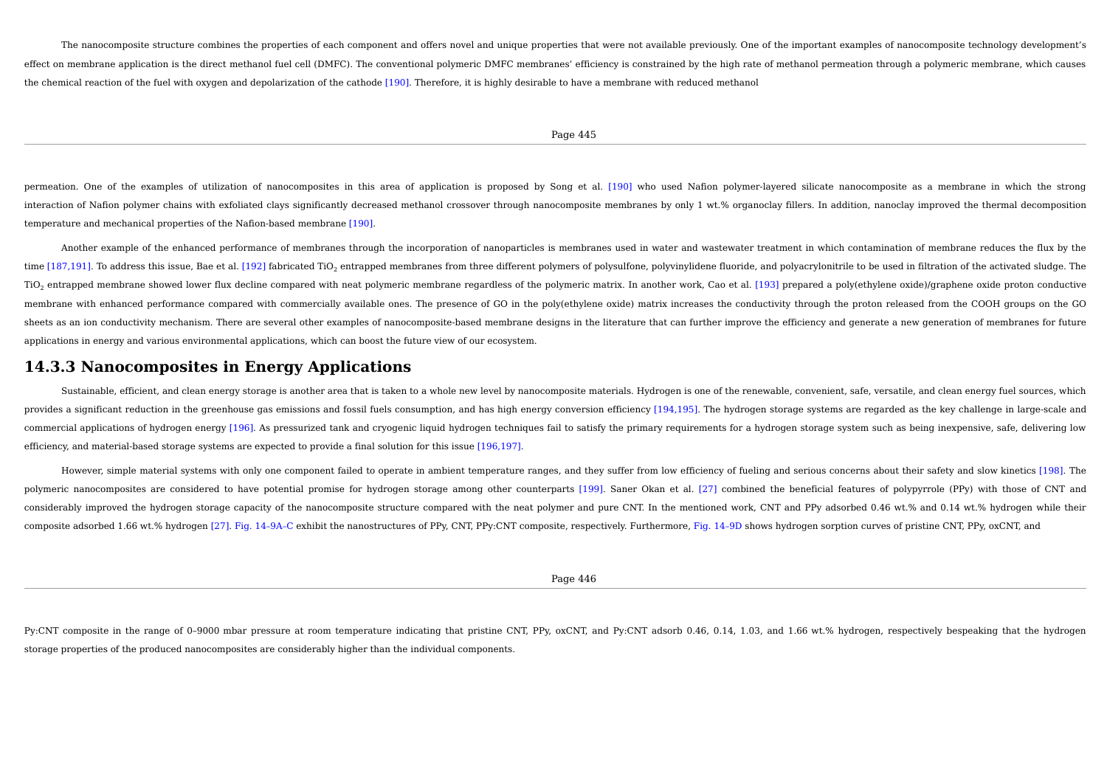The nanocomposite structure combines the properties of each component and offers novel and unique properties that were not available previously. One of the important examples of nanocomposite technology development's effect on membrane application is the direct methanol fuel cell (DMFC). The conventional polymeric DMFC membranes' efficiency is constrained by the high rate of methanol permeation through a polymeric membrane, which causes the chemical reaction of the fuel with oxygen and depolarization of the cathode [190]. Therefore, it is highly desirable to have a membrane with reduced methanol

permeation. One of the examples of utilization of nanocomposites in this area of application is proposed by Song et al. [190] who used Nafion polymer-layered silicate nanocomposite as a membrane in which the strong interaction of Nafion polymer chains with exfoliated clays significantly decreased methanol crossover through nanocomposite membranes by only 1 wt.% organoclay fillers. In addition, nanoclay improved the thermal decomposit temperature and mechanical properties of the Nafion-based membrane [190].

Another example of the enhanced performance of membranes through the incorporation of nanoparticles is membranes used in water and wastewater treatment in which contamination of membrane reduces the flux by the time [187,191]. To address this issue, Bae et al. [192] fabricated TiO<sub>2</sub> entrapped membranes from three different polymers of polysulfone, polyvinylidene fluoride, and polyacrylonitrile to be used in filtration of the act TiO<sub>2</sub> entrapped membrane showed lower flux decline compared with neat polymeric membrane regardless of the polymeric matrix. In another work, Cao et al. [193] prepared a poly(ethylene oxide)/graphene oxide proton conducti membrane with enhanced performance compared with commercially available ones. The presence of GO in the poly(ethylene oxide) matrix increases the conductivity through the proton released from the COOH groups on the GO sheets as an ion conductivity mechanism. There are several other examples of nanocomposite-based membrane designs in the literature that can further improve the efficiency and generate a new generation of membranes for fut applications in energy and various environmental applications, which can boost the future view of our ecosystem.

# **14.3.3 Nanocomposites in Energy Applications**

Sustainable, efficient, and clean energy storage is another area that is taken to a whole new level by nanocomposite materials. Hydrogen is one of the renewable, convenient, safe, versatile, and clean energy fuel sources, provides a significant reduction in the greenhouse gas emissions and fossil fuels consumption, and has high energy conversion efficiency [194,195]. The hydrogen storage systems are regarded as the key challenge in large-sc commercial applications of hydrogen energy [196]. As pressurized tank and cryogenic liquid hydrogen techniques fail to satisfy the primary requirements for a hydrogen storage system such as being inexpensive, safe, deliver efficiency, and material-based storage systems are expected to provide a final solution for this issue [196,197].

However, simple material systems with only one component failed to operate in ambient temperature ranges, and they suffer from low efficiency of fueling and serious concerns about their safety and slow kinetics [198]. The polymeric nanocomposites are considered to have potential promise for hydrogen storage among other counterparts [199]. Saner Okan et al. [27] combined the beneficial features of polypyrrole (PPy) with those of CNT and considerably improved the hydrogen storage capacity of the nanocomposite structure compared with the neat polymer and pure CNT. In the mentioned work, CNT and PPy adsorbed 0.46 wt.% and 0.14 wt.% hydrogen while their composite adsorbed 1.66 wt.% hydrogen [27]. Fig. 14-9A-C exhibit the nanostructures of PPy, CNT, PPy:CNT composite, respectively. Furthermore, Fig. 14-9D shows hydrogen sorption curves of pristine CNT, PPy, oxCNT, and

Page 446

Py:CNT composite in the range of 0-9000 mbar pressure at room temperature indicating that pristine CNT, PPy, oxCNT, and Py:CNT adsorb 0.46, 0.14, 1.03, and 1.66 wt.% hydrogen, respectively bespeaking that the hydrogen storage properties of the produced nanocomposites are considerably higher than the individual components.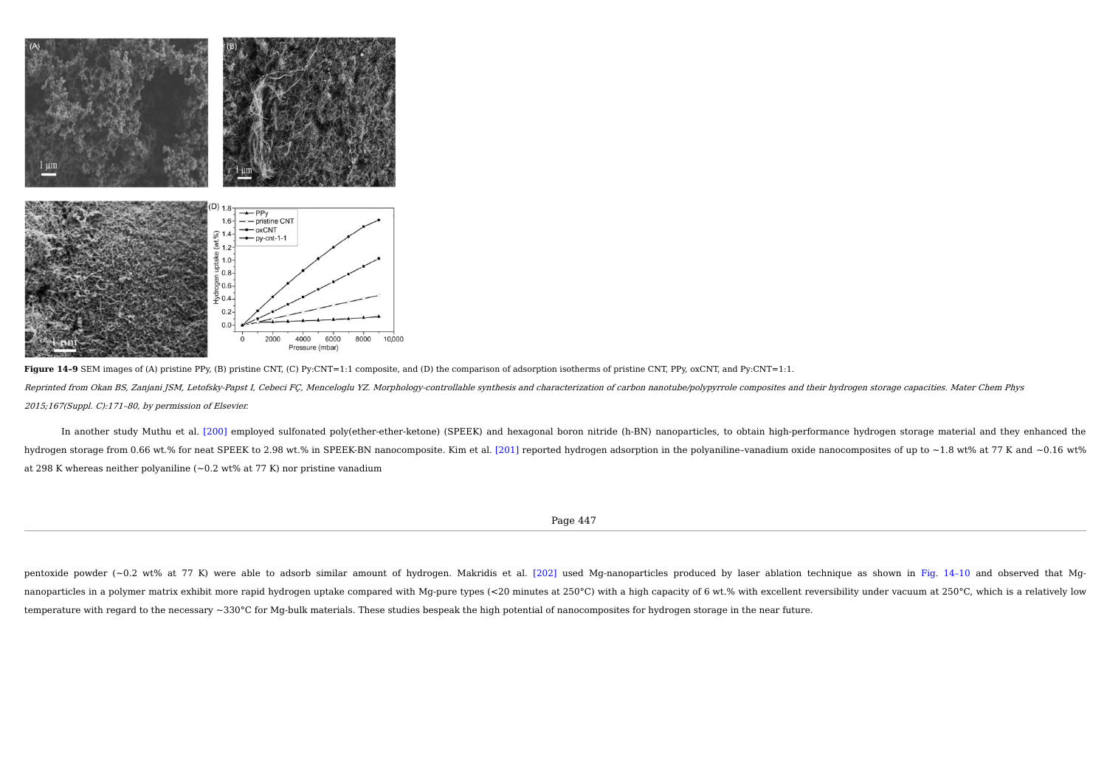

**Figure 14-9** SEM images of (A) pristine PPy, (B) pristine CNT, (C) Py:CNT=1:1 composite, and (D) the comparison of adsorption isotherms of pristine CNT, PPy, oxCNT, and Py:CNT=1:1. Reprinted from Okan BS, Zanjani JSM, Letofsky-Papst I, Cebeci FC, Menceloglu YZ. Morphology-controllable synthesis and characterization of carbon nanotube/polypyrrole composites and their hydrogen storage capacities. Mater 2015;167(Suppl. C):171–80, by permission of Elsevier.

In another study Muthu et al. [200] employed sulfonated poly(ether-ether-ketone) (SPEEK) and hexagonal boron nitride (h-BN) nanoparticles, to obtain high-performance hydrogen storage material and they enhanced the hydrogen storage from 0.66 wt.% for neat SPEEK to 2.98 wt.% in SPEEK-BN nanocomposite. Kim et al. [201] reported hydrogen adsorption in the polyaniline-vanadium oxide nanocomposites of up to ~1.8 wt% at 77 K and ~0.16 wt% at 298 K whereas neither polyaniline (~0.2 wt% at 77 K) nor pristine vanadium

Page 447

pentoxide powder (~0.2 wt% at 77 K) were able to adsorb similar amount of hydrogen. Makridis et al. [202] used Mg-nanoparticles produced by laser ablation technique as shown in Fig. 14-10 and observed that Mgnanoparticles in a polymer matrix exhibit more rapid hydrogen uptake compared with Mg-pure types (<20 minutes at 250°C) with a high capacity of 6 wt.% with excellent reversibility under vacuum at 250°C, which is a relative temperature with regard to the necessary ~330°C for Mg-bulk materials. These studies bespeak the high potential of nanocomposites for hydrogen storage in the near future.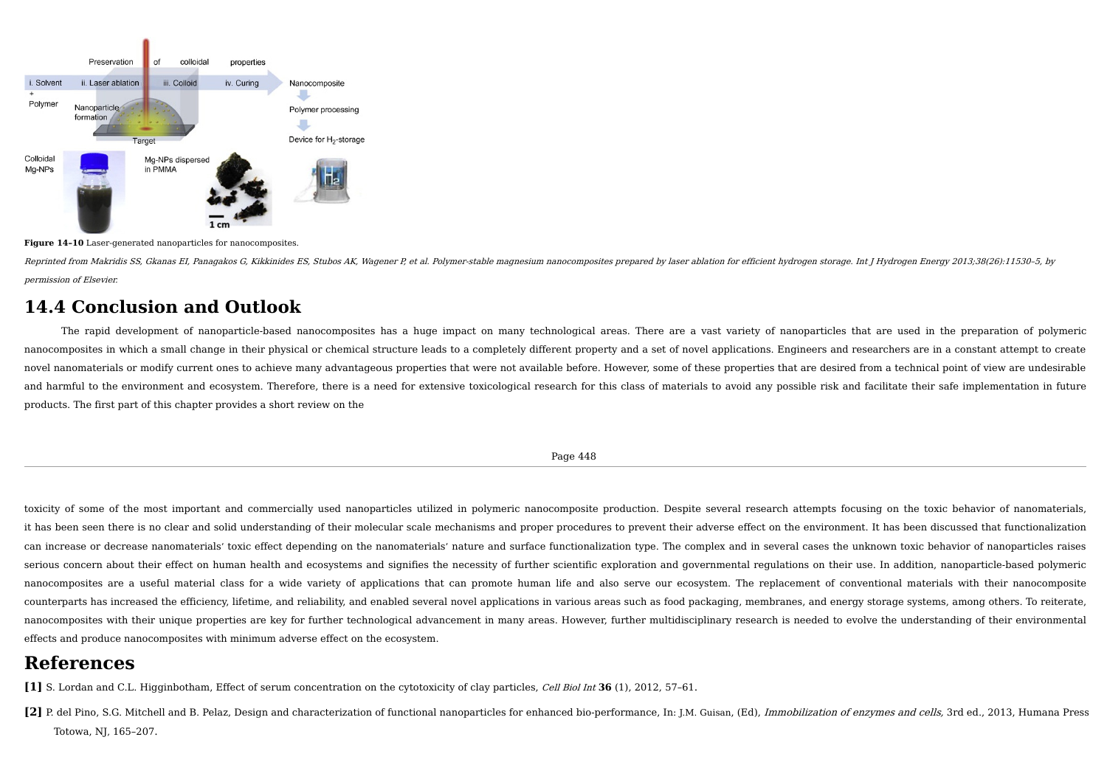

**Figure 14–10** Laser-generated nanoparticles for nanocomposites.

Reprinted from Makridis SS, Gkanas EI, Panagakos G, Kikkinides ES, Stubos AK, Wagener P, et al. Polymer-stable magnesium nanocomposites prepared by laser ablation for efficient hydrogen storage. Int J Hydrogen Energy 2013; permission of Elsevier.

# **14.4 Conclusion and Outlook**

The rapid development of nanoparticle-based nanocomposites has a huge impact on many technological areas. There are a vast variety of nanoparticles that are used in the preparation of polymeric nanocomposites in which a small change in their physical or chemical structure leads to a completely different property and a set of novel applications. Engineers and researchers are in a constant attempt to create novel nanomaterials or modify current ones to achieve many advantageous properties that were not available before. However, some of these properties that are desired from a technical point of view are undesirable and harmful to the environment and ecosystem. Therefore, there is a need for extensive toxicological research for this class of materials to avoid any possible risk and facilitate their safe implementation in future products. The first part of this chapter provides a short review on the

Page 448

toxicity of some of the most important and commercially used nanoparticles utilized in polymeric nanocomposite production. Despite several research attempts focusing on the toxic behavior of nanomaterials, it has been seen there is no clear and solid understanding of their molecular scale mechanisms and proper procedures to prevent their adverse effect on the environment. It has been discussed that functionalization can increase or decrease nanomaterials' toxic effect depending on the nanomaterials' nature and surface functionalization type. The complex and in several cases the unknown toxic behavior of nanoparticles raises serious concern about their effect on human health and ecosystems and signifies the necessity of further scientific exploration and governmental regulations on their use. In addition, nanoparticle-based polymeric nanocomposites are a useful material class for a wide variety of applications that can promote human life and also serve our ecosystem. The replacement of conventional materials with their nanocomposite counterparts has increased the efficiency, lifetime, and reliability, and enabled several novel applications in various areas such as food packaging, membranes, and energy storage systems, among others. To reiterate, nanocomposites with their unique properties are key for further technological advancement in many areas. However, further multidisciplinary research is needed to evolve the understanding of their environmental effects and produce nanocomposites with minimum adverse effect on the ecosystem.

# **References**

- **[1]** S. Lordan and C.L. Higginbotham, Effect of serum concentration on the cytotoxicity of clay particles, Cell Biol Int **36** (1), 2012, 57–61.
- [2] P. del Pino, S.G. Mitchell and B. Pelaz, Design and characterization of functional nanoparticles for enhanced bio-performance, In: J.M. Guisan, (Ed), Immobilization of enzymes and cells, 3rd ed., 2013, Humana Press Totowa, NJ, 165–207.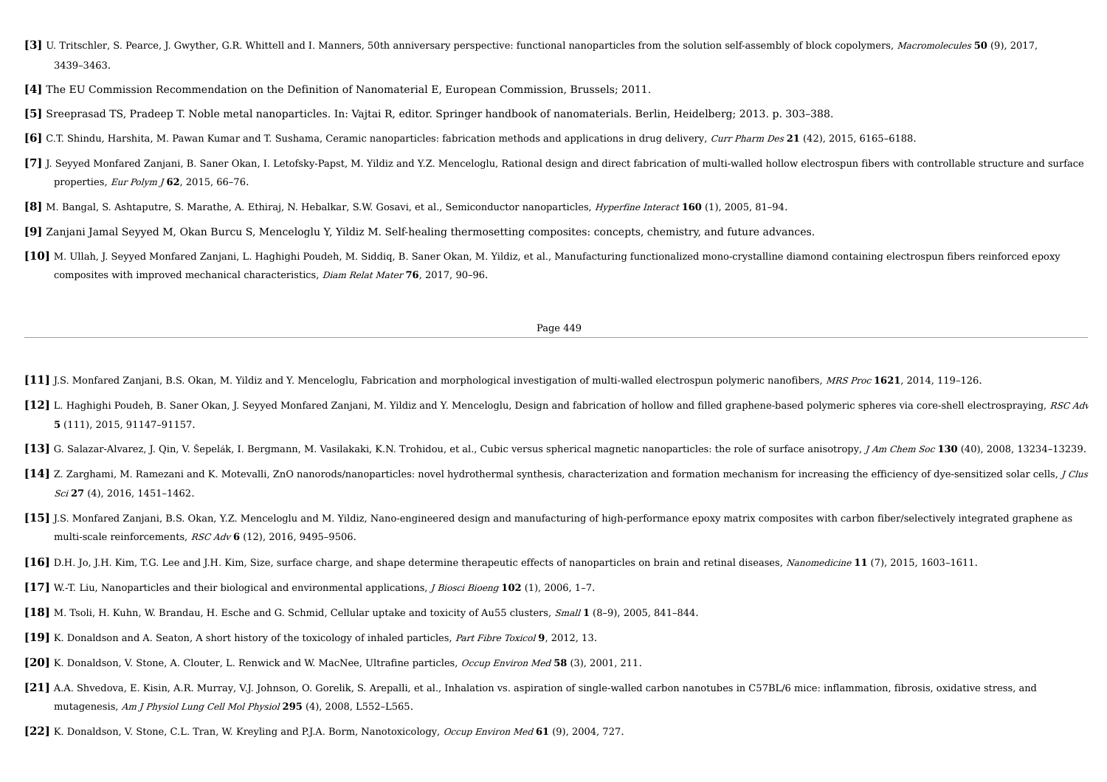- **[3]** U. Tritschler, S. Pearce, J. Gwyther, G.R. Whittell and I. Manners, 50th anniversary perspective: functional nanoparticles from the solution self-assembly of block copolymers, Macromolecules **50** (9), 2017, 3439–3463.
- **[4]** The EU Commission Recommendation on the Definition of Nanomaterial E, European Commission, Brussels; 2011.
- **[5]** Sreeprasad TS, Pradeep T. Noble metal nanoparticles. In: Vajtai R, editor. Springer handbook of nanomaterials. Berlin, Heidelberg; 2013. p. 303–388.
- **[6]** C.T. Shindu, Harshita, M. Pawan Kumar and T. Sushama, Ceramic nanoparticles: fabrication methods and applications in drug delivery, Curr Pharm Des **21** (42), 2015, 6165–6188.
- [7] J. Seyyed Monfared Zanjani, B. Saner Okan, I. Letofsky-Papst, M. Yildiz and Y.Z. Menceloglu, Rational design and direct fabrication of multi-walled hollow electrospun fibers with controllable structure and surface properties, Eur Polym J **62**, 2015, 66–76.
- **[8]** M. Bangal, S. Ashtaputre, S. Marathe, A. Ethiraj, N. Hebalkar, S.W. Gosavi, et al., Semiconductor nanoparticles, Hyperfine Interact **160** (1), 2005, 81–94.
- **[9]** Zanjani Jamal Seyyed M, Okan Burcu S, Menceloglu Y, Yildiz M. Self-healing thermosetting composites: concepts, chemistry, and future advances.
- **[10]** M. Ullah, J. Seyyed Monfared Zanjani, L. Haghighi Poudeh, M. Siddiq, B. Saner Okan, M. Yildiz, et al., Manufacturing functionalized mono-crystalline diamond containing electrospun fibers reinforced epoxy composites with improved mechanical characteristics, Diam Relat Mater **76**, 2017, 90–96.

- **[12]** L. Haghighi Poudeh, B. Saner Okan, J. Seyyed Monfared Zanjani, M. Yildiz and Y. Menceloglu, Design and fabrication of hollow and filled graphene-based polymeric spheres via core-shell electrospraying, RSC Adv **5** (111), 2015, 91147–91157.
- [13] G. Salazar-Alvarez, J. Qin, V. Šepelák, I. Bergmann, M. Vasilakaki, K.N. Trohidou, et al., Cubic versus spherical magnetic nanoparticles: the role of surface anisotropy, J Am Chem Soc 130 (40), 2008, 13234-13239.
- **[14]** Z. Zarghami, M. Ramezani and K. Motevalli, ZnO nanorods/nanoparticles: novel hydrothermal synthesis, characterization and formation mechanism for increasing the efficiency of dye-sensitized solar cells, J Clust Sci **27** (4), 2016, 1451–1462.
- **[15]** J.S. Monfared Zanjani, B.S. Okan, Y.Z. Menceloglu and M. Yildiz, Nano-engineered design and manufacturing of high-performance epoxy matrix composites with carbon fiber/selectively integrated graphene as multi-scale reinforcements, RSC Adv **6** (12), 2016, 9495–9506.
- **[16]** D.H. Jo, J.H. Kim, T.G. Lee and J.H. Kim, Size, surface charge, and shape determine therapeutic effects of nanoparticles on brain and retinal diseases, Nanomedicine **11** (7), 2015, 1603–1611.
- **[17]** W.-T. Liu, Nanoparticles and their biological and environmental applications, J Biosci Bioeng **102** (1), 2006, 1–7.
- **[18]** M. Tsoli, H. Kuhn, W. Brandau, H. Esche and G. Schmid, Cellular uptake and toxicity of Au55 clusters, Small **1** (8–9), 2005, 841–844.
- **[19]** K. Donaldson and A. Seaton, A short history of the toxicology of inhaled particles, Part Fibre Toxicol **9**, 2012, 13.
- **[20]** K. Donaldson, V. Stone, A. Clouter, L. Renwick and W. MacNee, Ultrafine particles, Occup Environ Med **58** (3), 2001, 211.
- **[21]** A.A. Shvedova, E. Kisin, A.R. Murray, V.J. Johnson, O. Gorelik, S. Arepalli, et al., Inhalation vs. aspiration of single-walled carbon nanotubes in C57BL/6 mice: inflammation, fibrosis, oxidative stress, and mutagenesis, Am J Physiol Lung Cell Mol Physiol **295** (4), 2008, L552–L565.
- **[22]** K. Donaldson, V. Stone, C.L. Tran, W. Kreyling and P.J.A. Borm, Nanotoxicology, Occup Environ Med **61** (9), 2004, 727.

**<sup>[11]</sup>** J.S. Monfared Zanjani, B.S. Okan, M. Yildiz and Y. Menceloglu, Fabrication and morphological investigation of multi-walled electrospun polymeric nanofibers, MRS Proc **1621**, 2014, 119–126.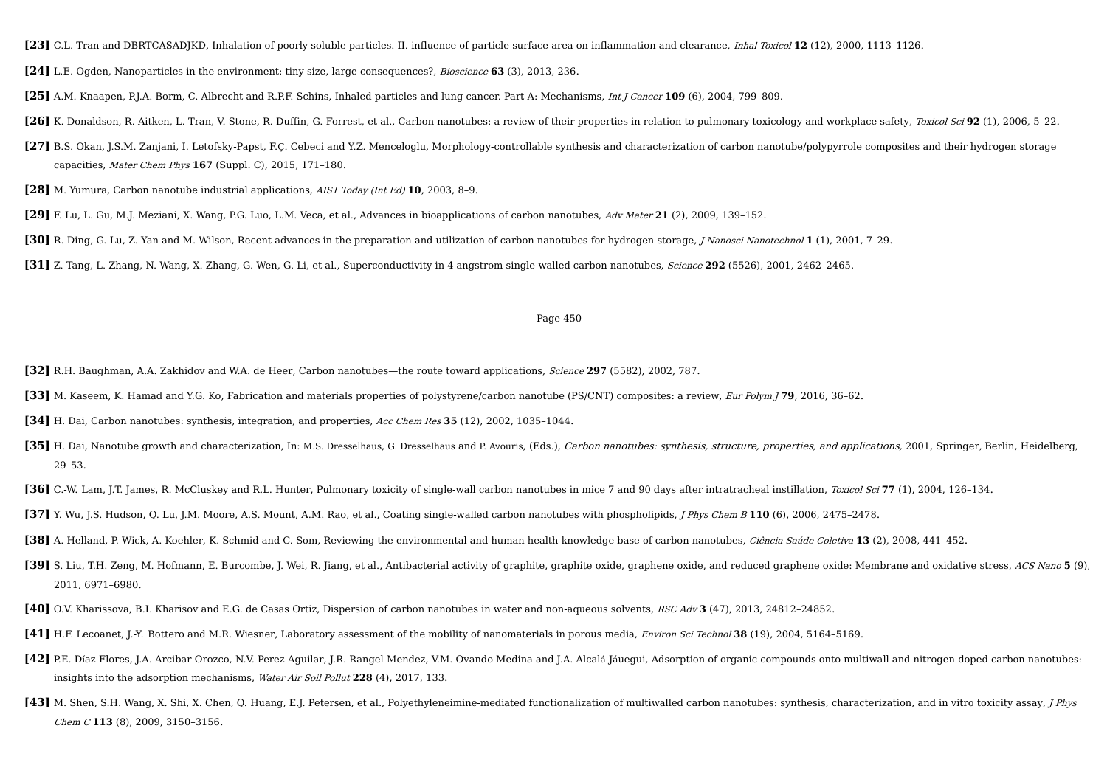- **[23]** C.L. Tran and DBRTCASADJKD, Inhalation of poorly soluble particles. II. influence of particle surface area on inflammation and clearance, Inhal Toxicol **12** (12), 2000, 1113–1126.
- **[24]** L.E. Ogden, Nanoparticles in the environment: tiny size, large consequences?, Bioscience **63** (3), 2013, 236.
- **[25]** A.M. Knaapen, P.J.A. Borm, C. Albrecht and R.P.F. Schins, Inhaled particles and lung cancer. Part A: Mechanisms, Int J Cancer **109** (6), 2004, 799–809.
- [26] K. Donaldson, R. Aitken, L. Tran, V. Stone, R. Duffin, G. Forrest, et al., Carbon nanotubes: a review of their properties in relation to pulmonary toxicology and workplace safety, Toxicol Sci 92 (1), 2006, 5-22.
- **[27]** B.S. Okan, J.S.M. Zanjani, I. Letofsky-Papst, F.Ç. Cebeci and Y.Z. Menceloglu, Morphology-controllable synthesis and characterization of carbon nanotube/polypyrrole composites and their hydrogen storage capacities, Mater Chem Phys **167** (Suppl. C), 2015, 171–180.
- **[28]** M. Yumura, Carbon nanotube industrial applications, AIST Today (Int Ed) **10**, 2003, 8–9.
- **[29]** F. Lu, L. Gu, M.J. Meziani, X. Wang, P.G. Luo, L.M. Veca, et al., Advances in bioapplications of carbon nanotubes, Adv Mater **21** (2), 2009, 139–152.
- **[30]** R. Ding, G. Lu, Z. Yan and M. Wilson, Recent advances in the preparation and utilization of carbon nanotubes for hydrogen storage, J Nanosci Nanotechnol **1** (1), 2001, 7–29.
- **[31]** Z. Tang, L. Zhang, N. Wang, X. Zhang, G. Wen, G. Li, et al., Superconductivity in 4 angstrom single-walled carbon nanotubes, Science **292** (5526), 2001, 2462–2465.

- **[32]** R.H. Baughman, A.A. Zakhidov and W.A. de Heer, Carbon nanotubes—the route toward applications, Science **297** (5582), 2002, 787.
- **[33]** M. Kaseem, K. Hamad and Y.G. Ko, Fabrication and materials properties of polystyrene/carbon nanotube (PS/CNT) composites: a review, Eur Polym J **79**, 2016, 36–62.
- **[34]** H. Dai, Carbon nanotubes: synthesis, integration, and properties, Acc Chem Res **35** (12), 2002, 1035–1044.
- **[35]** H. Dai, Nanotube growth and characterization, In: M.S. Dresselhaus, G. Dresselhaus and P. Avouris, (Eds.), Carbon nanotubes: synthesis, structure, properties, and applications, 2001, Springer, Berlin, Heidelberg, 29–53.
- **[36]** C.-W. Lam, J.T. James, R. McCluskey and R.L. Hunter, Pulmonary toxicity of single-wall carbon nanotubes in mice 7 and 90 days after intratracheal instillation, Toxicol Sci **77** (1), 2004, 126–134.
- **[37]** Y. Wu, J.S. Hudson, Q. Lu, J.M. Moore, A.S. Mount, A.M. Rao, et al., Coating single-walled carbon nanotubes with phospholipids, J Phys Chem <sup>B</sup> **110** (6), 2006, 2475–2478.
- **[38]** A. Helland, P. Wick, A. Koehler, K. Schmid and C. Som, Reviewing the environmental and human health knowledge base of carbon nanotubes, Ciência Saúde Coletiva **13** (2), 2008, 441–452.
- [39] S. Liu, T.H. Zeng, M. Hofmann, E. Burcombe, J. Wei, R. Jiang, et al., Antibacterial activity of graphite, graphite oxide, graphene oxide, and reduced graphene oxide; Membrane and oxidative stress, ACS Nano 5 (9) 2011, 6971–6980.
- **[40]** O.V. Kharissova, B.I. Kharisov and E.G. de Casas Ortiz, Dispersion of carbon nanotubes in water and non-aqueous solvents, RSC Adv **3** (47), 2013, 24812–24852.
- **[41]** H.F. Lecoanet, J.-Y. Bottero and M.R. Wiesner, Laboratory assessment of the mobility of nanomaterials in porous media, Environ Sci Technol **38** (19), 2004, 5164–5169.
- **[42]** P.E. Díaz-Flores, J.A. Arcibar-Orozco, N.V. Perez-Aguilar, J.R. Rangel-Mendez, V.M. Ovando Medina and J.A. Alcalá-Jáuegui, Adsorption of organic compounds onto multiwall and nitrogen-doped carbon nanotubes: insights into the adsorption mechanisms, Water Air Soil Pollut **228** (4), 2017, 133.
- **[43]** M. Shen, S.H. Wang, X. Shi, X. Chen, Q. Huang, E.J. Petersen, et al., Polyethyleneimine-mediated functionalization of multiwalled carbon nanotubes: synthesis, characterization, and in vitro toxicity assay, J Phys Chem <sup>C</sup> **113** (8), 2009, 3150–3156.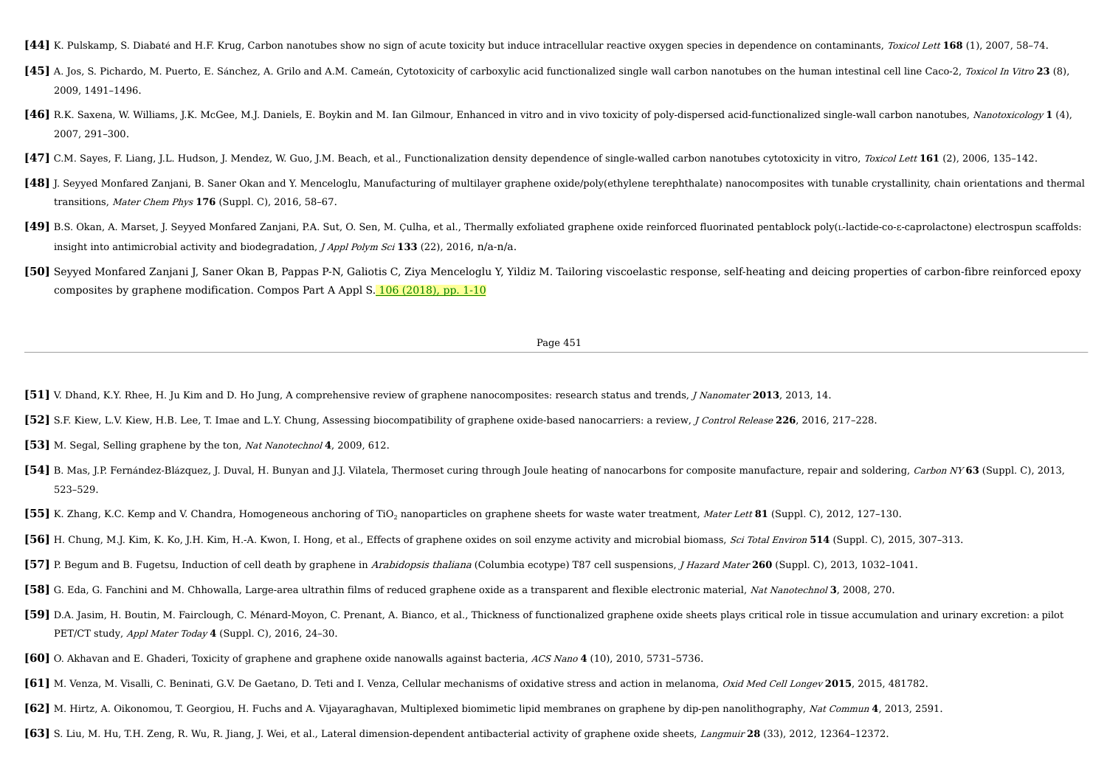- **[44]** K. Pulskamp, S. Diabaté and H.F. Krug, Carbon nanotubes show no sign of acute toxicity but induce intracellular reactive oxygen species in dependence on contaminants, Toxicol Lett **168** (1), 2007, 58–74.
- [45] A. Jos, S. Pichardo, M. Puerto, E. Sánchez, A. Grilo and A.M. Cameán, Cytotoxicity of carboxylic acid functionalized single wall carbon nanotubes on the human intestinal cell line Caco-2, Toxicol In Vitro 23 (8), 2009, 1491–1496.
- [46] R.K. Saxena, W. Williams, J.K. McGee, M.J. Daniels, E. Boykin and M. Ian Gilmour, Enhanced in vitro and in vivo toxicity of poly-dispersed acid-functionalized single-wall carbon nanotubes, Nanotoxicology 1 (4), 2007, 291–300.
- **[47]** C.M. Sayes, F. Liang, J.L. Hudson, J. Mendez, W. Guo, J.M. Beach, et al., Functionalization density dependence of single-walled carbon nanotubes cytotoxicity in vitro, Toxicol Lett **161** (2), 2006, 135–142.
- **[48]** J. Seyyed Monfared Zanjani, B. Saner Okan and Y. Menceloglu, Manufacturing of multilayer graphene oxide/poly(ethylene terephthalate) nanocomposites with tunable crystallinity, chain orientations and thermal transitions, Mater Chem Phys **176** (Suppl. C), 2016, 58–67.
- **[49]** B.S. Okan, A. Marset, J. Seyyed Monfared Zanjani, P.A. Sut, O. Sen, M. Çulha, et al., Thermally exfoliated graphene oxide reinforced fluorinated pentablock poly(L-lactide-co-ε-caprolactone) electrospun scaffolds: insight into antimicrobial activity and biodegradation, J Appl Polym Sci **133** (22), 2016, n/a-n/a.
- **[50]** Seyyed Monfared Zanjani J, Saner Okan B, Pappas P-N, Galiotis C, Ziya Menceloglu Y, Yildiz M. Tailoring viscoelastic response, self-heating and deicing properties of carbon-fibre reinforced epoxy composites by graphene modification. Compos Part A Appl S. 106 (2018), pp. 1-10

- **[51]** V. Dhand, K.Y. Rhee, H. Ju Kim and D. Ho Jung, A comprehensive review of graphene nanocomposites: research status and trends, J Nanomater **2013**, 2013, 14.
- **[52]** S.F. Kiew, L.V. Kiew, H.B. Lee, T. Imae and L.Y. Chung, Assessing biocompatibility of graphene oxide-based nanocarriers: a review, J Control Release **226**, 2016, 217–228.
- **[53]** M. Segal, Selling graphene by the ton, Nat Nanotechnol **4**, 2009, 612.
- **[54]** B. Mas, J.P. Fernández-Blázquez, J. Duval, H. Bunyan and J.J. Vilatela, Thermoset curing through Joule heating of nanocarbons for composite manufacture, repair and soldering, Carbon NY **63** (Suppl. C), 2013, 523–529.
- **[55]** K. Zhang, K.C. Kemp and V. Chandra, Homogeneous anchoring of TiO<sup>2</sup> nanoparticles on graphene sheets for waste water treatment, Mater Lett **81** (Suppl. C), 2012, 127–130.
- **[56]** H. Chung, M.J. Kim, K. Ko, J.H. Kim, H.-A. Kwon, I. Hong, et al., Effects of graphene oxides on soil enzyme activity and microbial biomass, Sci Total Environ **514** (Suppl. C), 2015, 307–313.
- **[57]** P. Begum and B. Fugetsu, Induction of cell death by graphene in Arabidopsis thaliana (Columbia ecotype) T87 cell suspensions, J Hazard Mater **260** (Suppl. C), 2013, 1032–1041.
- **[58]** G. Eda, G. Fanchini and M. Chhowalla, Large-area ultrathin films of reduced graphene oxide as a transparent and flexible electronic material, Nat Nanotechnol **3**, 2008, 270.
- **[59]** D.A. Jasim, H. Boutin, M. Fairclough, C. Ménard-Moyon, C. Prenant, A. Bianco, et al., Thickness of functionalized graphene oxide sheets plays critical role in tissue accumulation and urinary excretion: a pilot PET/CT study, Appl Mater Today **4** (Suppl. C), 2016, 24–30.
- **[60]** O. Akhavan and E. Ghaderi, Toxicity of graphene and graphene oxide nanowalls against bacteria, ACS Nano **4** (10), 2010, 5731–5736.
- **[61]** M. Venza, M. Visalli, C. Beninati, G.V. De Gaetano, D. Teti and I. Venza, Cellular mechanisms of oxidative stress and action in melanoma, Oxid Med Cell Longev **2015**, 2015, 481782.
- **[62]** M. Hirtz, A. Oikonomou, T. Georgiou, H. Fuchs and A. Vijayaraghavan, Multiplexed biomimetic lipid membranes on graphene by dip-pen nanolithography, Nat Commun **4**, 2013, 2591.
- **[63]** S. Liu, M. Hu, T.H. Zeng, R. Wu, R. Jiang, J. Wei, et al., Lateral dimension-dependent antibacterial activity of graphene oxide sheets, Langmuir **28** (33), 2012, 12364–12372.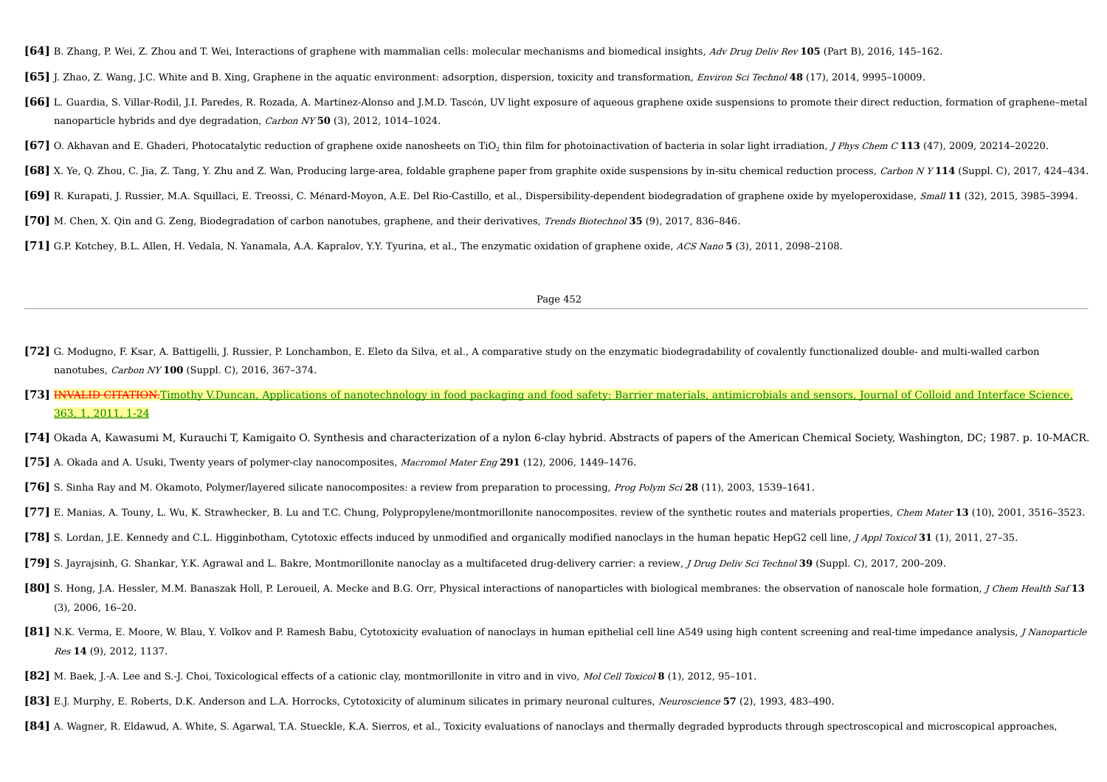- **[64]** B. Zhang, P. Wei, Z. Zhou and T. Wei, Interactions of graphene with mammalian cells: molecular mechanisms and biomedical insights, Adv Drug Deliv Rev **105** (Part B), 2016, 145–162.
- **[65]** J. Zhao, Z. Wang, J.C. White and B. Xing, Graphene in the aquatic environment: adsorption, dispersion, toxicity and transformation, Environ Sci Technol **48** (17), 2014, 9995–10009.
- **[66]** L. Guardia, S. Villar-Rodil, J.I. Paredes, R. Rozada, A. Martínez-Alonso and J.M.D. Tascón, UV light exposure of aqueous graphene oxide suspensions to promote their direct reduction, formation of graphene–metal nanoparticle hybrids and dye degradation, Carbon NY **50** (3), 2012, 1014–1024.
- **[67]** O. Akhavan and E. Ghaderi, Photocatalytic reduction of graphene oxide nanosheets on TiO<sub>2</sub> thin film for photoinactivation of bacteria in solar light irradiation, *J Phys Chem C* **113** (47), 2009, 20214–20220.
- [68] X. Ye, O. Zhou, C. Jia, Z. Tang, Y. Zhu and Z. Wan, Producing large-area, foldable graphene paper from graphite oxide suspensions by in-situ chemical reduction process, Carbon N Y 114 (Suppl. C), 2017, 424-434.
- [69] R. Kurapati, J. Russier, M.A. Squillaci, E. Treossi, C. Ménard-Moyon, A.E. Del Rio-Castillo, et al., Dispersibility-dependent biodegradation of graphene oxide by myeloperoxidase, Small 11 (32), 2015, 3985-3994.
- **[70]** M. Chen, X. Qin and G. Zeng, Biodegradation of carbon nanotubes, graphene, and their derivatives, Trends Biotechnol **35** (9), 2017, 836–846.
- **[71]** G.P. Kotchey, B.L. Allen, H. Vedala, N. Yanamala, A.A. Kapralov, Y.Y. Tyurina, et al., The enzymatic oxidation of graphene oxide, ACS Nano **5** (3), 2011, 2098–2108.

- **[72]** G. Modugno, F. Ksar, A. Battigelli, J. Russier, P. Lonchambon, E. Eleto da Silva, et al., A comparative study on the enzymatic biodegradability of covalently functionalized double- and multi-walled carbon nanotubes, Carbon NY **100** (Suppl. C), 2016, 367–374.
- [73] <del>INVALID CITATION.</del>Timothy V.Duncan, Applications of nanotechnology in food packaging and food safety: Barrier materials, antimicrobials and sensors, Journal of Colloid and Interface Science, 363, 1, 2011, 1-24
- **[74]** Okada A, Kawasumi M, Kurauchi T, Kamigaito O. Synthesis and characterization of a nylon 6-clay hybrid. Abstracts of papers of the American Chemical Society, Washington, DC; 1987. p. 10-MACR.
- **[75]** A. Okada and A. Usuki, Twenty years of polymer-clay nanocomposites, Macromol Mater Eng **291** (12), 2006, 1449–1476.
- **[76]** S. Sinha Ray and M. Okamoto, Polymer/layered silicate nanocomposites: a review from preparation to processing, Prog Polym Sci **28** (11), 2003, 1539–1641.
- **[77]** E. Manias, A. Touny, L. Wu, K. Strawhecker, B. Lu and T.C. Chung, Polypropylene/montmorillonite nanocomposites. review of the synthetic routes and materials properties, Chem Mater **13** (10), 2001, 3516–3523.
- **[78]** S. Lordan, J.E. Kennedy and C.L. Higginbotham, Cytotoxic effects induced by unmodified and organically modified nanoclays in the human hepatic HepG2 cell line, J Appl Toxicol **31** (1), 2011, 27–35.
- **[79]** S. Jayrajsinh, G. Shankar, Y.K. Agrawal and L. Bakre, Montmorillonite nanoclay as a multifaceted drug-delivery carrier: a review, J Drug Deliv Sci Technol **39** (Suppl. C), 2017, 200–209.
- [80] S. Hong, J.A. Hessler, M.M. Banaszak Holl, P. Leroueil, A. Mecke and B.G. Orr, Physical interactions of nanoparticles with biological membranes: the observation of nanoscale hole formation, J Chem Health Saf 13 (3), 2006, 16–20.
- **[81]** N.K. Verma, E. Moore, W. Blau, Y. Volkov and P. Ramesh Babu, Cytotoxicity evaluation of nanoclays in human epithelial cell line A549 using high content screening and real-time impedance analysis, *J Nanoparticle* Res **14** (9), 2012, 1137.
- **[82]** M. Baek, J.-A. Lee and S.-J. Choi, Toxicological effects of a cationic clay, montmorillonite in vitro and in vivo, Mol Cell Toxicol **8** (1), 2012, 95–101.
- **[83]** E.J. Murphy, E. Roberts, D.K. Anderson and L.A. Horrocks, Cytotoxicity of aluminum silicates in primary neuronal cultures, Neuroscience **57** (2), 1993, 483–490.
- **[84]** A. Wagner, R. Eldawud, A. White, S. Agarwal, T.A. Stueckle, K.A. Sierros, et al., Toxicity evaluations of nanoclays and thermally degraded byproducts through spectroscopical and microscopical approaches,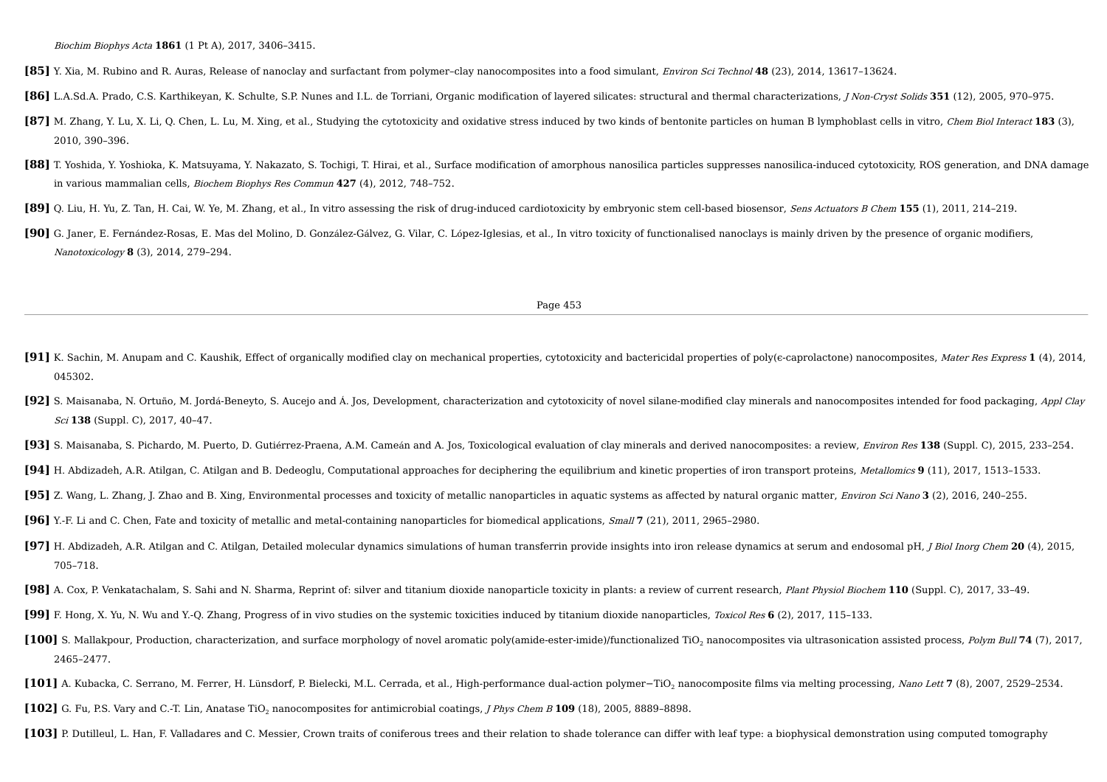Biochim Biophys Acta **1861** (1 Pt A), 2017, 3406–3415.

- **[85]** Y. Xia, M. Rubino and R. Auras, Release of nanoclay and surfactant from polymer–clay nanocomposites into a food simulant, Environ Sci Technol **48** (23), 2014, 13617–13624.
- [86] L.A.Sd.A. Prado, C.S. Karthikeyan, K. Schulte, S.P. Nunes and I.L. de Torriani, Organic modification of layered silicates: structural and thermal characterizations, *I Non-Cryst Solids* 351 (12), 2005, 970-975.
- [87] M. Zhang, Y. Lu, X. Li, Q. Chen, L. Lu, M. Xing, et al., Studying the cytotoxicity and oxidative stress induced by two kinds of bentonite particles on human B lymphoblast cells in vitro, Chem Biol Interact 183 (3), 2010, 390–396.
- **[88]** T. Yoshida, Y. Yoshioka, K. Matsuyama, Y. Nakazato, S. Tochigi, T. Hirai, et al., Surface modification of amorphous nanosilica particles suppresses nanosilica-induced cytotoxicity, ROS generation, and DNA damage in various mammalian cells, Biochem Biophys Res Commun **427** (4), 2012, 748–752.
- **[89]** Q. Liu, H. Yu, Z. Tan, H. Cai, W. Ye, M. Zhang, et al., In vitro assessing the risk of drug-induced cardiotoxicity by embryonic stem cell-based biosensor, Sens Actuators <sup>B</sup> Chem **155** (1), 2011, 214–219.
- **[90]** G. Janer, E. Fernández-Rosas, E. Mas del Molino, D. González-Gálvez, G. Vilar, C. López-Iglesias, et al., In vitro toxicity of functionalised nanoclays is mainly driven by the presence of organic modifiers, Nanotoxicology **8** (3), 2014, 279–294.

- **[91]** K. Sachin, M. Anupam and C. Kaushik. Effect of organically modified clay on mechanical properties, cytotoxicity and bactericidal properties of poly(e-caprolactone) nanocomposites, Mater Res Express 1 (4), 2014. 045302.
- **[92]** S. Maisanaba, N. Ortuño, M. Jordá-Beneyto, S. Aucejo and Á. Jos, Development, characterization and cytotoxicity of novel silane-modified clay minerals and nanocomposites intended for food packaging, Appl Clay Sci **138** (Suppl. C), 2017, 40–47.
- **[93]** S. Maisanaba, S. Pichardo, M. Puerto, D. Gutiérrez-Praena, A.M. Cameán and A. Jos, Toxicological evaluation of clay minerals and derived nanocomposites: a review, Environ Res **138** (Suppl. C), 2015, 233–254.
- **[94]** H. Abdizadeh, A.R. Atilgan, C. Atilgan and B. Dedeoglu, Computational approaches for deciphering the equilibrium and kinetic properties of iron transport proteins, Metallomics **9** (11), 2017, 1513–1533.
- **[95]** Z. Wang, L. Zhang, J. Zhao and B. Xing, Environmental processes and toxicity of metallic nanoparticles in aquatic systems as affected by natural organic matter, Environ Sci Nano **3** (2), 2016, 240–255.
- **[96]** Y.-F. Li and C. Chen, Fate and toxicity of metallic and metal-containing nanoparticles for biomedical applications, Small **7** (21), 2011, 2965–2980.
- [97] H. Abdizadeh, A.R. Atilgan and C. Atilgan, Detailed molecular dynamics simulations of human transferrin provide insights into iron release dynamics at serum and endosomal pH, *J Biol Inorg Chem* 20 (4), 2015, 705–718.
- **[98]** A. Cox, P. Venkatachalam, S. Sahi and N. Sharma, Reprint of: silver and titanium dioxide nanoparticle toxicity in plants: a review of current research, Plant Physiol Biochem **110** (Suppl. C), 2017, 33–49.
- **[99]** F. Hong, X. Yu, N. Wu and Y.-Q. Zhang, Progress of in vivo studies on the systemic toxicities induced by titanium dioxide nanoparticles, Toxicol Res **6** (2), 2017, 115–133.
- [100] S. Mallakpour, Production, characterization, and surface morphology of novel aromatic poly(amide-ester-imide)/functionalized TiO<sub>2</sub> nanocomposites via ultrasonication assisted process, Polym Bull 74 (7), 2017, 2465–2477.
- **[101]** A. Kubacka, C. Serrano, M. Ferrer, H. Lünsdorf, P. Bielecki, M.L. Cerrada, et al., High-performance dual-action polymer−TiO<sup>2</sup> nanocomposite films via melting processing, Nano Lett **7** (8), 2007, 2529–2534.
- **[102]** G. Fu, P.S. Vary and C.-T. Lin, Anatase TiO<sub>2</sub> nanocomposites for antimicrobial coatings, *J Phys Chem B* 109 (18), 2005, 8889-8898.
- [103] P. Dutilleul, L. Han, F. Valladares and C. Messier, Crown traits of coniferous trees and their relation to shade tolerance can differ with leaf type: a biophysical demonstration using computed tomography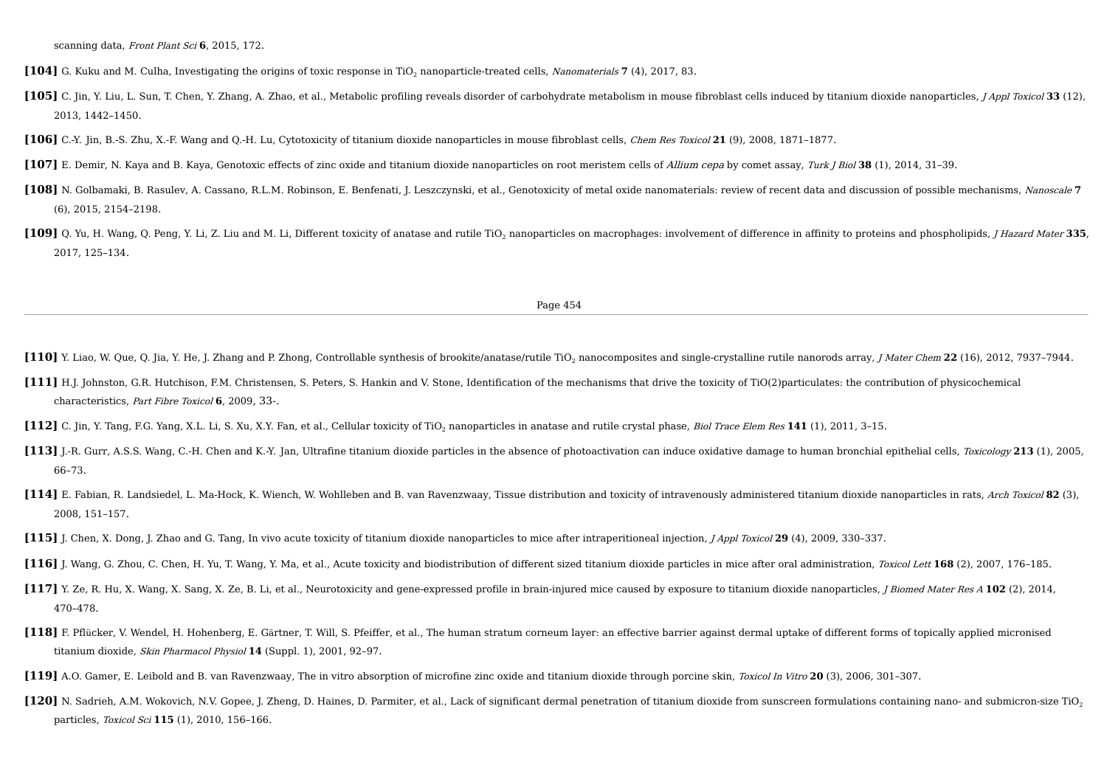scanning data, Front Plant Sci **6**, 2015, 172.

**[104]** G. Kuku and M. Culha, Investigating the origins of toxic response in TiO<sub>2</sub> nanoparticle-treated cells, Nanomaterials **7** (4), 2017, 83.

- **[105]** C. Jin, Y. Liu, L. Sun, T. Chen, Y. Zhang, A. Zhao, et al., Metabolic profiling reveals disorder of carbohydrate metabolism in mouse fibroblast cells induced by titanium dioxide nanoparticles, *I Appl Toxicol* 33 ( 2013, 1442–1450.
- **[106]** C.-Y. Jin, B.-S. Zhu, X.-F. Wang and Q.-H. Lu, Cytotoxicity of titanium dioxide nanoparticles in mouse fibroblast cells, Chem Res Toxicol **21** (9), 2008, 1871–1877.

- **[108]** N. Golbamaki, B. Rasuley, A. Cassano, R.L.M. Robinson, E. Benfenati, J. Leszczynski, et al., Genotoxicity of metal oxide nanomaterials: review of recent data and discussion of possible mechanisms. Nanoscale 7 (6), 2015, 2154–2198.
- [109] O. Yu, H. Wang, O. Peng, Y. Li, Z. Liu and M. Li, Different toxicity of anatase and rutile TiO, nanoparticles on macrophages: involvement of difference in affinity to proteins and phospholipids, *J Hazard Mater* 335, 2017, 125–134.

- **[110]** Y. Liao, W. Oue, O. Jia, Y. He. J. Zhang and P. Zhong. Controllable synthesis of brookite/anatase/rutile TiO<sub>2</sub> nanocomposites and single-crystalline rutile nanorods array, *I Mater Chem* 22 (16), 2012, 7937-7944.
- **[111]** H.J. Johnston, G.R. Hutchison, F.M. Christensen, S. Peters, S. Hankin and V. Stone, Identification of the mechanisms that drive the toxicity of TiO(2)particulates: the contribution of physicochemical characteristics, Part Fibre Toxicol **6**, 2009, 33-.
- **[112]** C. Jin, Y. Tang, F.G. Yang, X.L. Li, S. Xu, X.Y. Fan, et al., Cellular toxicity of TiO<sup>2</sup> nanoparticles in anatase and rutile crystal phase, Biol Trace Elem Res **141** (1), 2011, 3–15.
- [113] J.-R. Gurr, A.S.S. Wang, C.-H. Chen and K.-Y. Jan, Ultrafine titanium dioxide particles in the absence of photoactivation can induce oxidative damage to human bronchial epithelial cells, Toxicology 213 (1), 2005, 66–73.
- [114] E. Fabian, R. Landsiedel, L. Ma-Hock, K. Wiench, W. Wohlleben and B. van Ravenzwaay, Tissue distribution and toxicity of intravenously administered titanium dioxide nanoparticles in rats, Arch Toxicol 82 (3), 2008, 151–157.
- **[115]** J. Chen, X. Dong, J. Zhao and G. Tang, In vivo acute toxicity of titanium dioxide nanoparticles to mice after intraperitioneal injection, J Appl Toxicol **29** (4), 2009, 330–337.
- [116] I. Wang. G. Zhou. C. Chen. H. Yu, T. Wang, Y. Ma. et al., Acute toxicity and biodistribution of different sized titanium dioxide particles in mice after oral administration, Toxicol Lett 168 (2), 2007, 176-185.
- [117] Y. Ze, R. Hu, X. Wang, X. Sang, X. Ze, B. Li, et al., Neurotoxicity and gene-expressed profile in brain-injured mice caused by exposure to titanium dioxide nanoparticles. *I Biomed Mater Res A* 102 (2), 2014, 470–478.
- **[118]** F. Pflücker, V. Wendel, H. Hohenberg, E. Gärtner, T. Will, S. Pfeiffer, et al., The human stratum corneum layer: an effective barrier against dermal uptake of different forms of topically applied micronised titanium dioxide, Skin Pharmacol Physiol **14** (Suppl. 1), 2001, 92–97.
- **[119]** A.O. Gamer, E. Leibold and B. van Ravenzwaay, The in vitro absorption of microfine zinc oxide and titanium dioxide through porcine skin, Toxicol In Vitro **20** (3), 2006, 301–307.
- **[120]** N. Sadrieh, A.M. Wokovich, N.V. Gopee, J. Zheng, D. Haines, D. Parmiter, et al., Lack of significant dermal penetration of titanium dioxide from sunscreen formulations containing nano- and submicron-size TiO<sub>2</sub> particles, Toxicol Sci **115** (1), 2010, 156–166.

**<sup>[107]</sup>** E. Demir, N. Kaya and B. Kaya, Genotoxic effects of zinc oxide and titanium dioxide nanoparticles on root meristem cells of Allium cepa by comet assay, Turk J Biol **38** (1), 2014, 31–39.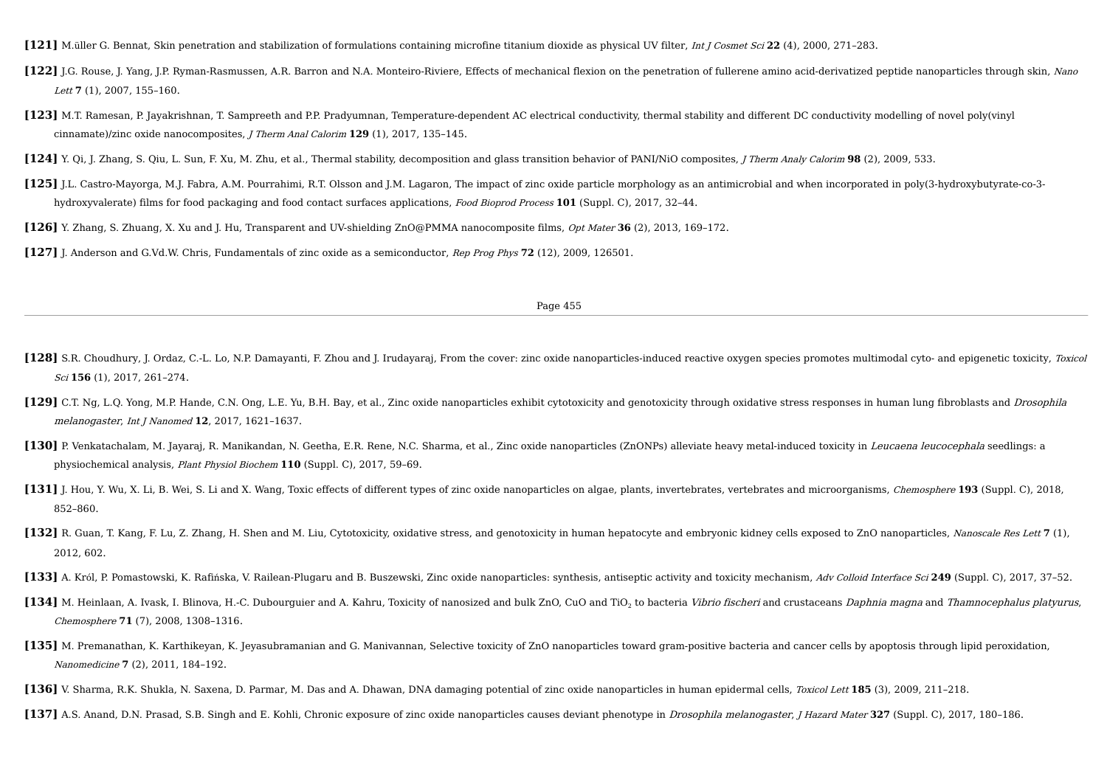- **[121]** M.üller G. Bennat, Skin penetration and stabilization of formulations containing microfine titanium dioxide as physical UV filter, Int J Cosmet Sci **22** (4), 2000, 271–283.
- **[122]** J.G. Rouse, J. Yang, J.P. Ryman-Rasmussen, A.R. Barron and N.A. Monteiro-Riviere, Effects of mechanical flexion on the penetration of fullerene amino acid-derivatized peptide nanoparticles through skin, Nano Lett **7** (1), 2007, 155–160.
- **[123]** M.T. Ramesan, P. Jayakrishnan, T. Sampreeth and P.P. Pradyumnan, Temperature-dependent AC electrical conductivity, thermal stability and different DC conductivity modelling of novel poly(vinyl cinnamate)/zinc oxide nanocomposites, J Therm Anal Calorim **129** (1), 2017, 135–145.
- **[124]** Y. Qi, J. Zhang, S. Qiu, L. Sun, F. Xu, M. Zhu, et al., Thermal stability, decomposition and glass transition behavior of PANI/NiO composites, J Therm Analy Calorim **98** (2), 2009, 533.
- **[125]** J.L. Castro-Mayorga, M.J. Fabra, A.M. Pourrahimi, R.T. Olsson and J.M. Lagaron, The impact of zinc oxide particle morphology as an antimicrobial and when incorporated in poly(3-hydroxybutyrate-co-3 hydroxyvalerate) films for food packaging and food contact surfaces applications, Food Bioprod Process **101** (Suppl. C), 2017, 32–44.
- **[126]** Y. Zhang, S. Zhuang, X. Xu and J. Hu, Transparent and UV-shielding ZnO@PMMA nanocomposite films, Opt Mater **36** (2), 2013, 169–172.
- **[127]** J. Anderson and G.Vd.W. Chris, Fundamentals of zinc oxide as a semiconductor, Rep Prog Phys **72** (12), 2009, 126501.

- **[128]** S.R. Choudhury, J. Ordaz, C.-L. Lo, N.P. Damayanti, F. Zhou and J. Irudayaraj, From the cover: zinc oxide nanoparticles-induced reactive oxygen species promotes multimodal cyto- and epigenetic toxicity, Toxicol Sci **156** (1), 2017, 261–274.
- **[129]** C.T. Ng, L.Q. Yong, M.P. Hande, C.N. Ong, L.E. Yu, B.H. Bay, et al., Zinc oxide nanoparticles exhibit cytotoxicity and genotoxicity through oxidative stress responses in human lung fibroblasts and Drosophila melanogaster, Int J Nanomed **12**, 2017, 1621–1637.
- **[130]** P. Venkatachalam, M. Jayaraj, R. Manikandan, N. Geetha, E.R. Rene, N.C. Sharma, et al., Zinc oxide nanoparticles (ZnONPs) alleviate heavy metal-induced toxicity in Leucaena leucocephala seedlings: a physiochemical analysis, Plant Physiol Biochem **110** (Suppl. C), 2017, 59–69.
- [131] J. Hou, Y. Wu, X. Li, B. Wei, S. Li and X. Wang, Toxic effects of different types of zinc oxide nanoparticles on algae, plants, invertebrates, vertebrates and microorganisms, *Chemosphere* 193 (Suppl. C), 2018, 852–860.
- [132] R. Guan, T. Kang, F. Lu, Z. Zhang, H. Shen and M. Liu, Cytotoxicity, oxidative stress, and genotoxicity in human hepatocyte and embryonic kidney cells exposed to ZnO nanoparticles, Nanoscale Res Lett 7 (1), 2012, 602.
- [133] A. Król, P. Pomastowski, K. Rafińska, V. Railean-Plugaru and B. Buszewski, Zinc oxide nanoparticles: synthesis, antiseptic activity and toxicity mechanism, Adv Colloid Interface Sci 249 (Suppl. C), 2017, 37-52.
- [134] M. Heinlaan, A. Ivask, I. Blinova, H.-C. Dubourquier and A. Kahru, Toxicity of nanosized and bulk ZnO, CuO and TiO<sub>2</sub> to bacteria *Vibrio fischeri* and crustaceans *Daphnia magna* and Thamnocephalus platyurus, Chemosphere **71** (7), 2008, 1308–1316.
- [135] M. Premanathan, K. Karthikeyan, K. Jeyasubramanian and G. Manivannan, Selective toxicity of ZnO nanoparticles toward gram-positive bacteria and cancer cells by apoptosis through lipid peroxidation, Nanomedicine **7** (2), 2011, 184–192.
- **[136]** V. Sharma, R.K. Shukla, N. Saxena, D. Parmar, M. Das and A. Dhawan, DNA damaging potential of zinc oxide nanoparticles in human epidermal cells, Toxicol Lett **185** (3), 2009, 211–218.
- **[137]** A.S. Anand, D.N. Prasad, S.B. Singh and E. Kohli, Chronic exposure of zinc oxide nanoparticles causes deviant phenotype in Drosophila melanogaster, J Hazard Mater **327** (Suppl. C), 2017, 180–186.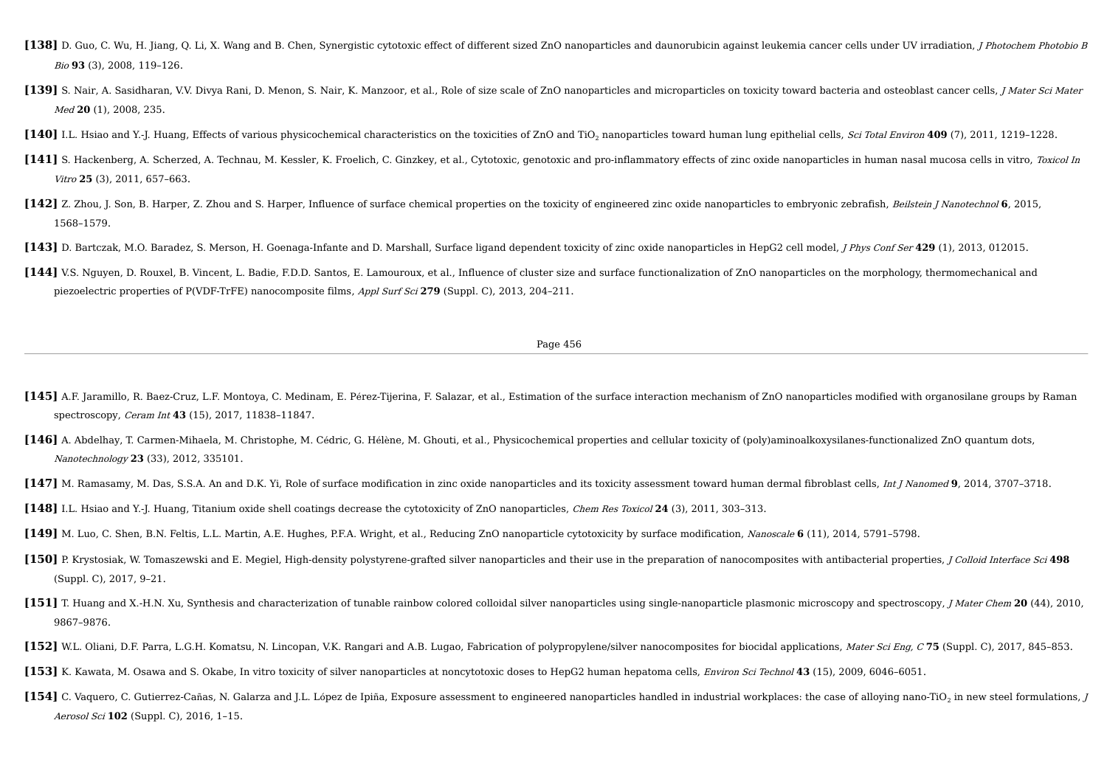- **[138]** D. Guo, C. Wu, H. Jiang, Q. Li, X. Wang and B. Chen, Synergistic cytotoxic effect of different sized ZnO nanoparticles and daunorubicin against leukemia cancer cells under UV irradiation, J Photochem Photobio <sup>B</sup> Bio **93** (3), 2008, 119–126.
- **[139]** S. Nair, A. Sasidharan, V.V. Divya Rani, D. Menon, S. Nair, K. Manzoor, et al., Role of size scale of ZnO nanoparticles and microparticles on toxicity toward bacteria and osteoblast cancer cells. *I Mater Sci Mater* Med **20** (1), 2008, 235.
- [140] I.L. Hsiao and Y.-J. Huang, Effects of various physicochemical characteristics on the toxicities of ZnO and TiO<sub>2</sub> nanoparticles toward human lung epithelial cells, Sci Total Environ 409 (7), 2011, 1219-1228.
- **[141]** S. Hackenberg, A. Scherzed, A. Technau, M. Kessler, K. Froelich, C. Ginzkey, et al., Cytotoxic, genotoxic and pro-inflammatory effects of zinc oxide nanoparticles in human nasal mucosa cells in vitro, Toxicol In Vitro **25** (3), 2011, 657–663.
- **[142]** Z. Zhou, J. Son, B. Harper, Z. Zhou and S. Harper, Influence of surface chemical properties on the toxicity of engineered zinc oxide nanoparticles to embryonic zebrafish, Beilstein J Nanotechnol **6**, 2015, 1568–1579.
- **[143]** D. Bartczak, M.O. Baradez, S. Merson, H. Goenaga-Infante and D. Marshall, Surface ligand dependent toxicity of zinc oxide nanoparticles in HepG2 cell model, J Phys Conf Ser **429** (1), 2013, 012015.
- **[144]** V.S. Nguyen, D. Rouxel, B. Vincent, L. Badie, F.D.D. Santos, E. Lamouroux, et al., Influence of cluster size and surface functionalization of ZnO nanoparticles on the morphology, thermomechanical and piezoelectric properties of P(VDF-TrFE) nanocomposite films, Appl Surf Sci **279** (Suppl. C), 2013, 204–211.

- **[145]** A.F. Jaramillo, R. Baez-Cruz, L.F. Montoya, C. Medinam, E. Pérez-Tijerina, F. Salazar, et al., Estimation of the surface interaction mechanism of ZnO nanoparticles modified with organosilane groups by Raman spectroscopy, Ceram Int **43** (15), 2017, 11838–11847.
- **[146]** A. Abdelhay, T. Carmen-Mihaela, M. Christophe, M. Cédric, G. Hélène, M. Ghouti, et al., Physicochemical properties and cellular toxicity of (poly)aminoalkoxysilanes-functionalized ZnO quantum dots, Nanotechnology **23** (33), 2012, 335101.
- **[147]** M. Ramasamy, M. Das, S.S.A. An and D.K. Yi, Role of surface modification in zinc oxide nanoparticles and its toxicity assessment toward human dermal fibroblast cells, Int J Nanomed **9**, 2014, 3707–3718.
- **[148]** I.L. Hsiao and Y.-J. Huang, Titanium oxide shell coatings decrease the cytotoxicity of ZnO nanoparticles, Chem Res Toxicol **24** (3), 2011, 303–313.
- **[149]** M. Luo, C. Shen, B.N. Feltis, L.L. Martin, A.E. Hughes, P.F.A. Wright, et al., Reducing ZnO nanoparticle cytotoxicity by surface modification, Nanoscale **6** (11), 2014, 5791–5798.
- [150] P. Krystosiak, W. Tomaszewski and E. Megiel, High-density polystyrene-grafted silver nanoparticles and their use in the preparation of nanocomposites with antibacterial properties, J Colloid Interface Sci 498 (Suppl. C), 2017, 9–21.
- [151] T. Huang and X.-H.N. Xu, Synthesis and characterization of tunable rainbow colored colloidal silver nanoparticles using single-nanoparticle plasmonic microscopy and spectroscopy, *J Mater Chem* 20 (44), 2010, 9867–9876.
- [152] W.L. Oliani, D.F. Parra, L.G.H. Komatsu, N. Lincopan, V.K. Rangari and A.B. Lugao, Fabrication of polypropylene/silver nanocomposites for biocidal applications, Mater Sci Eng, C 75 (Suppl. C), 2017, 845-853.
- **[153]** K. Kawata, M. Osawa and S. Okabe, In vitro toxicity of silver nanoparticles at noncytotoxic doses to HepG2 human hepatoma cells, Environ Sci Technol **43** (15), 2009, 6046–6051.
- [154] C. Vaquero, C. Gutierrez-Cañas, N. Galarza and J.L. López de Ipiña, Exposure assessment to engineered nanoparticles handled in industrial workplaces: the case of alloying nano-TiO<sub>2</sub> in new steel formulations, J Aerosol Sci **102** (Suppl. C), 2016, 1–15.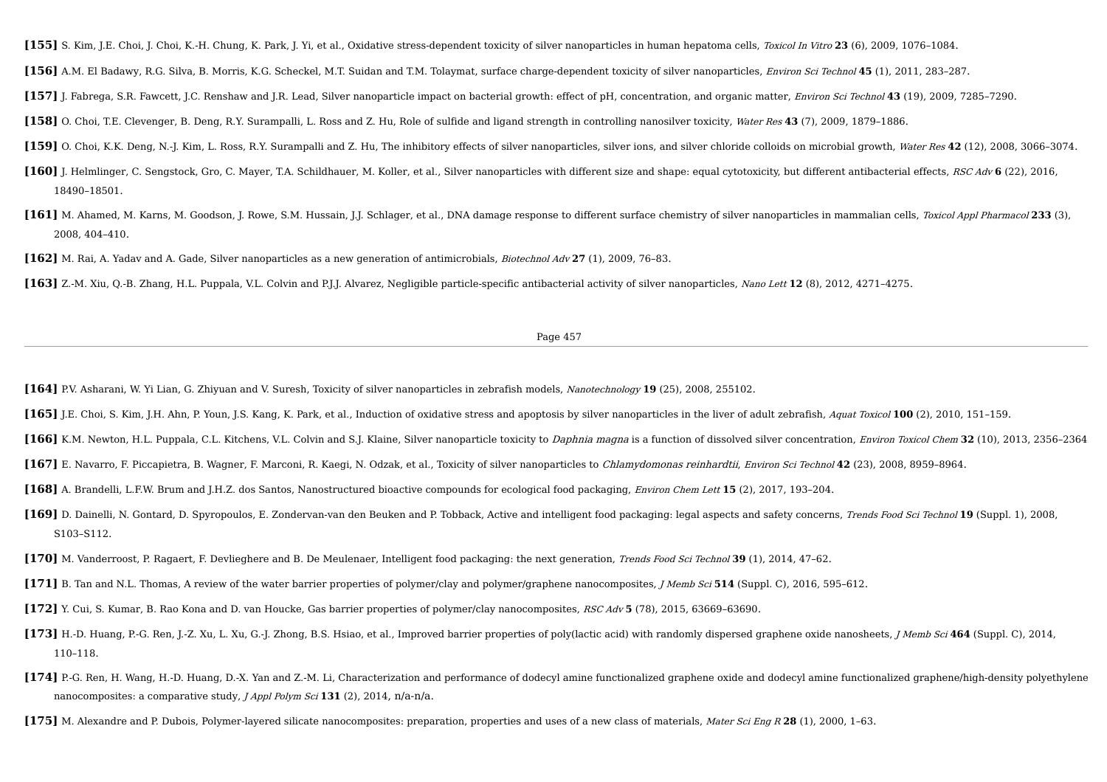- **[155]** S. Kim, J.E. Choi, J. Choi, K.-H. Chung, K. Park, J. Yi, et al., Oxidative stress-dependent toxicity of silver nanoparticles in human hepatoma cells, Toxicol In Vitro **23** (6), 2009, 1076–1084.
- **[156]** A.M. El Badawy, R.G. Silva, B. Morris, K.G. Scheckel, M.T. Suidan and T.M. Tolaymat, surface charge-dependent toxicity of silver nanoparticles, Environ Sci Technol **45** (1), 2011, 283–287.
- **[157]** J. Fabrega, S.R. Fawcett, J.C. Renshaw and J.R. Lead, Silver nanoparticle impact on bacterial growth: effect of pH, concentration, and organic matter, Environ Sci Technol **43** (19), 2009, 7285–7290.
- **[158]** O. Choi, T.E. Clevenger, B. Deng, R.Y. Surampalli, L. Ross and Z. Hu, Role of sulfide and ligand strength in controlling nanosilver toxicity, Water Res **43** (7), 2009, 1879–1886.
- [159] O. Choi. K.K. Deng. N.-I. Kim. L. Ross. R.Y. Surampalli and Z. Hu. The inhibitory effects of silver nanoparticles. silver ions, and silver chloride colloids on microbial growth. Water Res 42 (12), 2008, 3066-3074.
- **[160]** I. Helmlinger, C. Sengstock, Gro. C. Mayer, T.A. Schildhauer, M. Koller, et al., Silver nanoparticles with different size and shape; equal cytotoxicity, but different antibacterial effects, RSC Adv 6 (22), 2016. 18490–18501.
- [161] M. Ahamed, M. Karns, M. Goodson, J. Rowe, S.M. Hussain, I.I. Schlager, et al., DNA damage response to different surface chemistry of silver nanoparticles in mammalian cells. Toxicol Appl Pharmacol 233 (3). 2008, 404–410.
- **[162]** M. Rai, A. Yadav and A. Gade, Silver nanoparticles as a new generation of antimicrobials, Biotechnol Adv **27** (1), 2009, 76–83.
- **[163]** Z.-M. Xiu, Q.-B. Zhang, H.L. Puppala, V.L. Colvin and P.J.J. Alvarez, Negligible particle-specific antibacterial activity of silver nanoparticles, Nano Lett **12** (8), 2012, 4271–4275.

- **[164]** P.V. Asharani, W. Yi Lian, G. Zhiyuan and V. Suresh, Toxicity of silver nanoparticles in zebrafish models, Nanotechnology **19** (25), 2008, 255102.
- **[165]** J.E. Choi, S. Kim, J.H. Ahn, P. Youn, J.S. Kang, K. Park, et al., Induction of oxidative stress and apoptosis by silver nanoparticles in the liver of adult zebrafish, Aquat Toxicol **100** (2), 2010, 151–159.
- [166] K.M. Newton, H.L. Puppala, C.L. Kitchens, V.L. Colvin and S.J. Klaine, Silver nanoparticle toxicity to *Daphnia magna* is a function of dissolved silver concentration, *Environ Toxicol Chem* 32 (10), 2013, 2356-2364
- **[167]** E. Navarro, F. Piccapietra, B. Wagner, F. Marconi, R. Kaegi, N. Odzak, et al., Toxicity of silver nanoparticles to Chlamydomonas reinhardtii, Environ Sci Technol **42** (23), 2008, 8959–8964.
- **[168]** A. Brandelli, L.F.W. Brum and J.H.Z. dos Santos, Nanostructured bioactive compounds for ecological food packaging, Environ Chem Lett **15** (2), 2017, 193–204.
- **[169]** D. Dainelli, N. Gontard, D. Spyropoulos, E. Zondervan-van den Beuken and P. Tobback, Active and intelligent food packaging: legal aspects and safety concerns, Trends Food Sci Technol **19** (Suppl. 1), 2008, S103–S112.
- **[170]** M. Vanderroost, P. Ragaert, F. Devlieghere and B. De Meulenaer, Intelligent food packaging: the next generation, Trends Food Sci Technol **39** (1), 2014, 47–62.
- **[171]** B. Tan and N.L. Thomas, A review of the water barrier properties of polymer/clay and polymer/graphene nanocomposites, J Memb Sci **514** (Suppl. C), 2016, 595–612.
- **[172]** Y. Cui, S. Kumar, B. Rao Kona and D. van Houcke, Gas barrier properties of polymer/clay nanocomposites, RSC Adv **5** (78), 2015, 63669–63690.
- [173] H.-D. Huang, P.-G. Ren. I.-Z. Xu, L. Xu, G.-L. Zhong, B.S. Hsiao, et al., Improved barrier properties of poly(lactic acid) with randomly dispersed graphene oxide nanosheets, *I Memb Sci* 464 (Suppl, C), 2014. 110–118.
- **[174]** P.-G. Ren, H. Wang, H.-D. Huang, D.-X. Yan and Z.-M. Li, Characterization and performance of dodecyl amine functionalized graphene oxide and dodecyl amine functionalized graphene/high-density polyethylene nanocomposites: a comparative study, J Appl Polym Sci **131** (2), 2014, n/a-n/a.
- **[175]** M. Alexandre and P. Dubois, Polymer-layered silicate nanocomposites: preparation, properties and uses of a new class of materials, Mater Sci Eng <sup>R</sup> **28** (1), 2000, 1–63.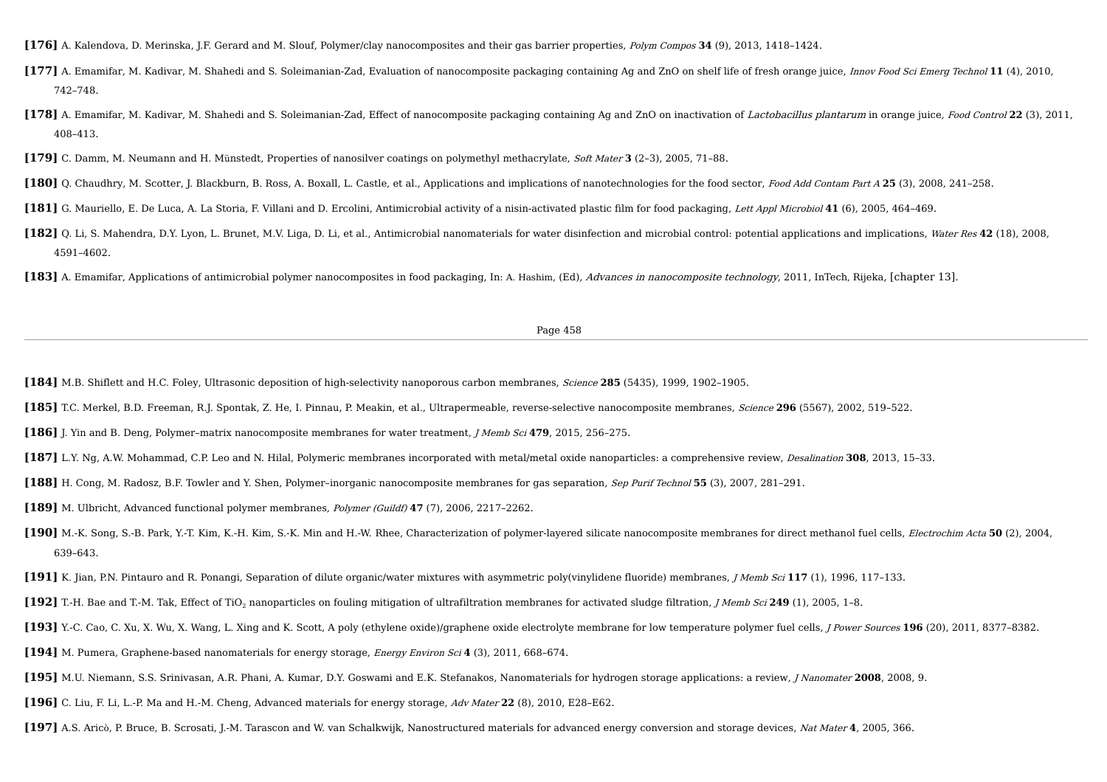- **[176]** A. Kalendova, D. Merinska, J.F. Gerard and M. Slouf, Polymer/clay nanocomposites and their gas barrier properties, Polym Compos **34** (9), 2013, 1418–1424.
- **[177]** A. Emamifar, M. Kadivar, M. Shahedi and S. Soleimanian-Zad, Evaluation of nanocomposite packaging containing Ag and ZnO on shelf life of fresh orange juice, Innov Food Sci Emerg Technol **11** (4), 2010, 742–748.
- **[178]** A. Emamifar, M. Kadivar, M. Shahedi and S. Soleimanian-Zad, Effect of nanocomposite packaging containing Ag and ZnO on inactivation of Lactobacillus plantarum in orange juice, Food Control **22** (3), 2011, 408–413.
- **[179]** C. Damm, M. Neumann and H. Münstedt, Properties of nanosilver coatings on polymethyl methacrylate, Soft Mater **3** (2–3), 2005, 71–88.
- **[180]** Q. Chaudhry, M. Scotter, J. Blackburn, B. Ross, A. Boxall, L. Castle, et al., Applications and implications of nanotechnologies for the food sector, Food Add Contam Part <sup>A</sup> **25** (3), 2008, 241–258.
- **[181]** G. Mauriello, E. De Luca, A. La Storia, F. Villani and D. Ercolini, Antimicrobial activity of a nisin-activated plastic film for food packaging, Lett Appl Microbiol **41** (6), 2005, 464–469.
- [182] O. Li, S. Mahendra, D.Y. Lyon, L. Brunet, M.V. Liga, D. Li, et al., Antimicrobial nanomaterials for water disinfection and microbial control: potential applications and implications, Water Res 42 (18), 2008, 4591–4602.
- **[183]** A. Emamifar, Applications of antimicrobial polymer nanocomposites in food packaging, In: A. Hashim, (Ed), Advances in nanocomposite technology, 2011, InTech, Rijeka, [chapter 13].

- **[184]** M.B. Shiflett and H.C. Foley, Ultrasonic deposition of high-selectivity nanoporous carbon membranes, Science **285** (5435), 1999, 1902–1905.
- **[185]** T.C. Merkel, B.D. Freeman, R.J. Spontak, Z. He, I. Pinnau, P. Meakin, et al., Ultrapermeable, reverse-selective nanocomposite membranes, Science **296** (5567), 2002, 519–522.
- **[186]** J. Yin and B. Deng, Polymer–matrix nanocomposite membranes for water treatment, J Memb Sci **479**, 2015, 256–275.
- **[187]** L.Y. Ng, A.W. Mohammad, C.P. Leo and N. Hilal, Polymeric membranes incorporated with metal/metal oxide nanoparticles: a comprehensive review, Desalination **308**, 2013, 15–33.
- **[188]** H. Cong, M. Radosz, B.F. Towler and Y. Shen, Polymer–inorganic nanocomposite membranes for gas separation, Sep Purif Technol **55** (3), 2007, 281–291.
- **[189]** M. Ulbricht, Advanced functional polymer membranes, Polymer (Guildf) **47** (7), 2006, 2217–2262.
- **[190]** M.-K. Song, S.-B. Park, Y.-T. Kim, K.-H. Kim, S.-K. Min and H.-W. Rhee, Characterization of polymer-layered silicate nanocomposite membranes for direct methanol fuel cells, Electrochim Acta **50** (2), 2004, 639–643.
- **[191]** K. Jian, P.N. Pintauro and R. Ponangi, Separation of dilute organic/water mixtures with asymmetric poly(vinylidene fluoride) membranes, J Memb Sci **117** (1), 1996, 117–133.
- **[192]** T.-H. Bae and T.-M. Tak, Effect of TiO<sup>2</sup> nanoparticles on fouling mitigation of ultrafiltration membranes for activated sludge filtration, <sup>J</sup> Memb Sci **249** (1), 2005, 1–8.
- **[193]** Y.-C. Cao, C. Xu, X. Wu, X. Wang, L. Xing and K. Scott, A poly (ethylene oxide)/graphene oxide electrolyte membrane for low temperature polymer fuel cells, J Power Sources **196** (20), 2011, 8377–8382.
- **[194]** M. Pumera, Graphene-based nanomaterials for energy storage, Energy Environ Sci **4** (3), 2011, 668–674.
- **[195]** M.U. Niemann, S.S. Srinivasan, A.R. Phani, A. Kumar, D.Y. Goswami and E.K. Stefanakos, Nanomaterials for hydrogen storage applications: a review, J Nanomater **2008**, 2008, 9.
- **[196]** C. Liu, F. Li, L.-P. Ma and H.-M. Cheng, Advanced materials for energy storage, Adv Mater **22** (8), 2010, E28–E62.
- **[197]** A.S. Aricò, P. Bruce, B. Scrosati, J.-M. Tarascon and W. van Schalkwijk, Nanostructured materials for advanced energy conversion and storage devices, Nat Mater **4**, 2005, 366.